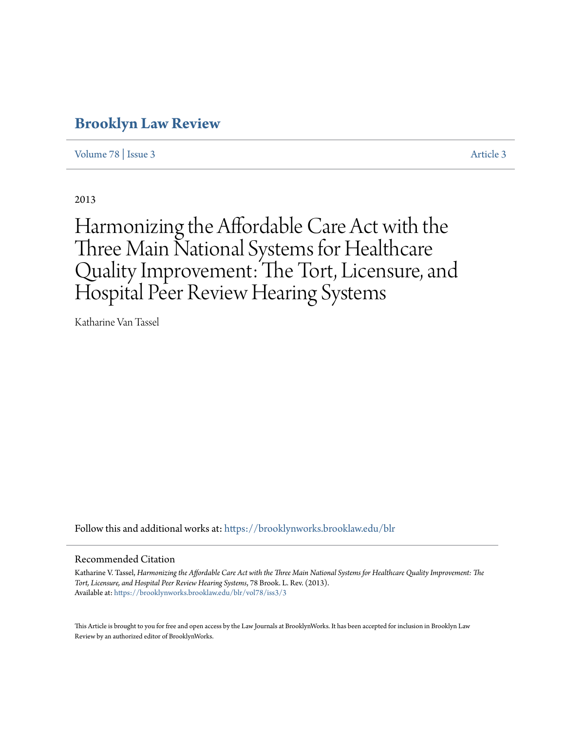# **[Brooklyn Law Review](https://brooklynworks.brooklaw.edu/blr?utm_source=brooklynworks.brooklaw.edu%2Fblr%2Fvol78%2Fiss3%2F3&utm_medium=PDF&utm_campaign=PDFCoverPages)**

[Volume 78](https://brooklynworks.brooklaw.edu/blr/vol78?utm_source=brooklynworks.brooklaw.edu%2Fblr%2Fvol78%2Fiss3%2F3&utm_medium=PDF&utm_campaign=PDFCoverPages) | [Issue 3](https://brooklynworks.brooklaw.edu/blr/vol78/iss3?utm_source=brooklynworks.brooklaw.edu%2Fblr%2Fvol78%2Fiss3%2F3&utm_medium=PDF&utm_campaign=PDFCoverPages) [Article 3](https://brooklynworks.brooklaw.edu/blr/vol78/iss3/3?utm_source=brooklynworks.brooklaw.edu%2Fblr%2Fvol78%2Fiss3%2F3&utm_medium=PDF&utm_campaign=PDFCoverPages)

2013

# Harmonizing the Affordable Care Act with the Three Main National Systems for Healthcare Quality Improvement: The Tort, Licensure, and Hospital Peer Review Hearing Systems

Katharine Van Tassel

Follow this and additional works at: [https://brooklynworks.brooklaw.edu/blr](https://brooklynworks.brooklaw.edu/blr?utm_source=brooklynworks.brooklaw.edu%2Fblr%2Fvol78%2Fiss3%2F3&utm_medium=PDF&utm_campaign=PDFCoverPages)

#### Recommended Citation

Katharine V. Tassel, *Harmonizing the Affordable Care Act with the Three Main National Systems for Healthcare Quality Improvement: The Tort, Licensure, and Hospital Peer Review Hearing Systems*, 78 Brook. L. Rev. (2013). Available at: [https://brooklynworks.brooklaw.edu/blr/vol78/iss3/3](https://brooklynworks.brooklaw.edu/blr/vol78/iss3/3?utm_source=brooklynworks.brooklaw.edu%2Fblr%2Fvol78%2Fiss3%2F3&utm_medium=PDF&utm_campaign=PDFCoverPages)

This Article is brought to you for free and open access by the Law Journals at BrooklynWorks. It has been accepted for inclusion in Brooklyn Law Review by an authorized editor of BrooklynWorks.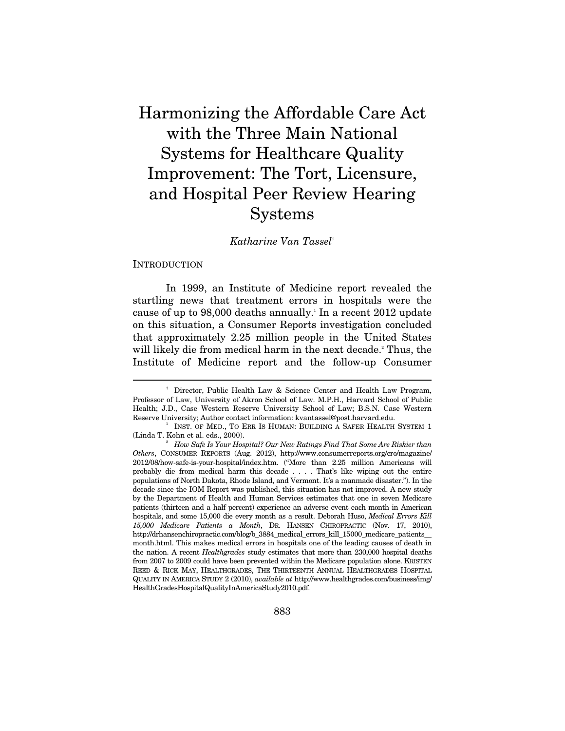Harmonizing the Affordable Care Act with the Three Main National Systems for Healthcare Quality Improvement: The Tort, Licensure, and Hospital Peer Review Hearing Systems

#### *Katharine Van Tassel*†

#### **INTRODUCTION**

 $\overline{a}$ 

In 1999, an Institute of Medicine report revealed the startling news that treatment errors in hospitals were the cause of up to 98,000 deaths annually.<sup>1</sup> In a recent 2012 update on this situation, a Consumer Reports investigation concluded that approximately 2.25 million people in the United States will likely die from medical harm in the next decade.<sup>2</sup> Thus, the Institute of Medicine report and the follow-up Consumer

 <sup>†</sup> Director, Public Health Law & Science Center and Health Law Program, Professor of Law, University of Akron School of Law. M.P.H., Harvard School of Public Health; J.D., Case Western Reserve University School of Law; B.S.N. Case Western Reserve University; Author contact information: kvantassel@post.harvard.edu. 1

INST. OF MED., TO ERR IS HUMAN: BUILDING A SAFER HEALTH SYSTEM 1 (Linda T. Kohn et al. eds., 2000).

*How Safe Is Your Hospital? Our New Ratings Find That Some Are Riskier than Others*, CONSUMER REPORTS (Aug. 2012), http://www.consumerreports.org/cro/magazine/ 2012/08/how-safe-is-your-hospital/index.htm. ("More than 2.25 million Americans will probably die from medical harm this decade . . . . That's like wiping out the entire populations of North Dakota, Rhode Island, and Vermont. It's a manmade disaster."). In the decade since the IOM Report was published, this situation has not improved. A new study by the Department of Health and Human Services estimates that one in seven Medicare patients (thirteen and a half percent) experience an adverse event each month in American hospitals, and some 15,000 die every month as a result. Deborah Huso, *Medical Errors Kill 15,000 Medicare Patients a Month*, DR. HANSEN CHIROPRACTIC (Nov. 17, 2010), http://drhansenchiropractic.com/blog/b\_3884\_medical\_errors\_kill\_15000\_medicare\_patients\_\_ month.html. This makes medical errors in hospitals one of the leading causes of death in the nation. A recent *Healthgrades* study estimates that more than 230,000 hospital deaths from 2007 to 2009 could have been prevented within the Medicare population alone. KRISTEN REED & RICK MAY, HEALTHGRADES, THE THIRTEENTH ANNUAL HEALTHGRADES HOSPITAL QUALITY IN AMERICA STUDY 2 (2010), *available at* http://www.healthgrades.com/business/img/ HealthGradesHospitalQualityInAmericaStudy2010.pdf.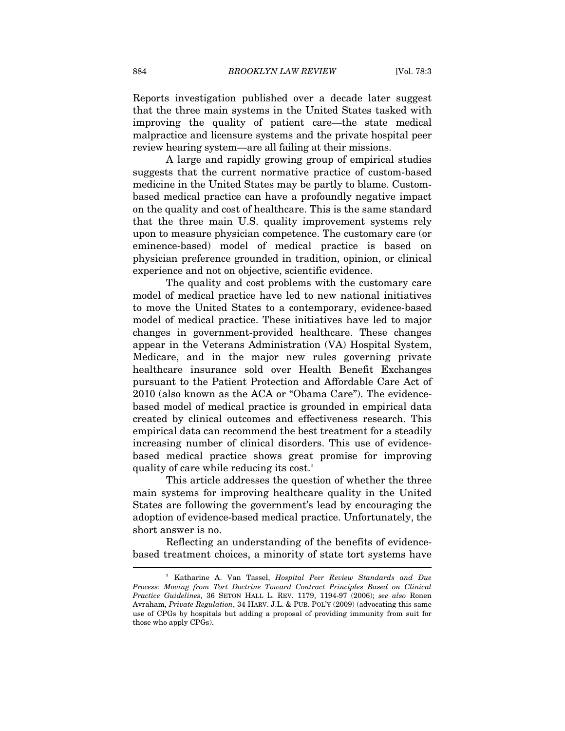Reports investigation published over a decade later suggest that the three main systems in the United States tasked with improving the quality of patient care—the state medical malpractice and licensure systems and the private hospital peer review hearing system—are all failing at their missions.

A large and rapidly growing group of empirical studies suggests that the current normative practice of custom-based medicine in the United States may be partly to blame. Custombased medical practice can have a profoundly negative impact on the quality and cost of healthcare. This is the same standard that the three main U.S. quality improvement systems rely upon to measure physician competence. The customary care (or eminence-based) model of medical practice is based on physician preference grounded in tradition, opinion, or clinical experience and not on objective, scientific evidence.

The quality and cost problems with the customary care model of medical practice have led to new national initiatives to move the United States to a contemporary, evidence-based model of medical practice. These initiatives have led to major changes in government-provided healthcare. These changes appear in the Veterans Administration (VA) Hospital System, Medicare, and in the major new rules governing private healthcare insurance sold over Health Benefit Exchanges pursuant to the Patient Protection and Affordable Care Act of 2010 (also known as the ACA or "Obama Care"). The evidencebased model of medical practice is grounded in empirical data created by clinical outcomes and effectiveness research. This empirical data can recommend the best treatment for a steadily increasing number of clinical disorders. This use of evidencebased medical practice shows great promise for improving quality of care while reducing its cost.<sup>3</sup>

This article addresses the question of whether the three main systems for improving healthcare quality in the United States are following the government's lead by encouraging the adoption of evidence-based medical practice. Unfortunately, the short answer is no.

Reflecting an understanding of the benefits of evidencebased treatment choices, a minority of state tort systems have  $\overline{\phantom{a}}$ 

<sup>3</sup> Katharine A. Van Tassel, *Hospital Peer Review Standards and Due Process: Moving from Tort Doctrine Toward Contract Principles Based on Clinical Practice Guidelines*, 36 SETON HALL L. REV. 1179, 1194-97 (2006); *see also* Ronen Avraham, *Private Regulation*, 34 HARV. J.L. & PUB. POL'Y (2009) (advocating this same use of CPGs by hospitals but adding a proposal of providing immunity from suit for those who apply CPGs).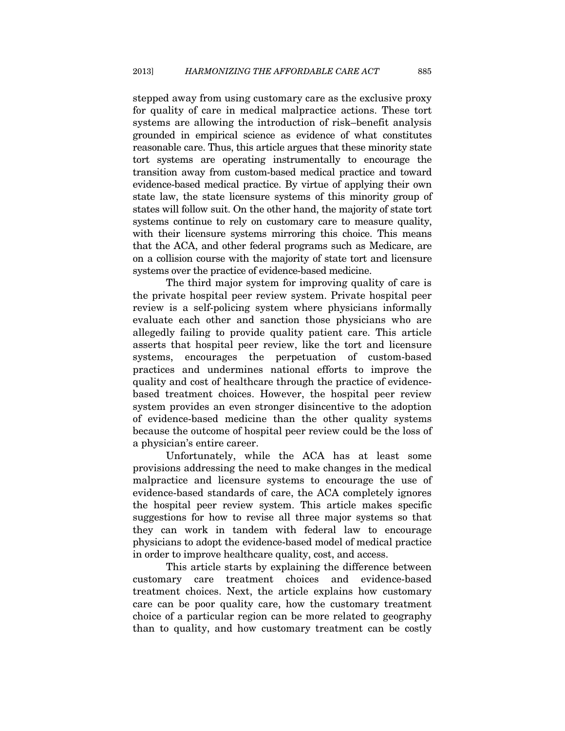stepped away from using customary care as the exclusive proxy for quality of care in medical malpractice actions. These tort systems are allowing the introduction of risk–benefit analysis grounded in empirical science as evidence of what constitutes reasonable care. Thus, this article argues that these minority state tort systems are operating instrumentally to encourage the transition away from custom-based medical practice and toward evidence-based medical practice. By virtue of applying their own state law, the state licensure systems of this minority group of states will follow suit. On the other hand, the majority of state tort systems continue to rely on customary care to measure quality, with their licensure systems mirroring this choice. This means that the ACA, and other federal programs such as Medicare, are on a collision course with the majority of state tort and licensure systems over the practice of evidence-based medicine.

The third major system for improving quality of care is the private hospital peer review system. Private hospital peer review is a self-policing system where physicians informally evaluate each other and sanction those physicians who are allegedly failing to provide quality patient care. This article asserts that hospital peer review, like the tort and licensure systems, encourages the perpetuation of custom-based practices and undermines national efforts to improve the quality and cost of healthcare through the practice of evidencebased treatment choices. However, the hospital peer review system provides an even stronger disincentive to the adoption of evidence-based medicine than the other quality systems because the outcome of hospital peer review could be the loss of a physician's entire career.

Unfortunately, while the ACA has at least some provisions addressing the need to make changes in the medical malpractice and licensure systems to encourage the use of evidence-based standards of care, the ACA completely ignores the hospital peer review system. This article makes specific suggestions for how to revise all three major systems so that they can work in tandem with federal law to encourage physicians to adopt the evidence-based model of medical practice in order to improve healthcare quality, cost, and access.

This article starts by explaining the difference between customary care treatment choices and evidence-based treatment choices. Next, the article explains how customary care can be poor quality care, how the customary treatment choice of a particular region can be more related to geography than to quality, and how customary treatment can be costly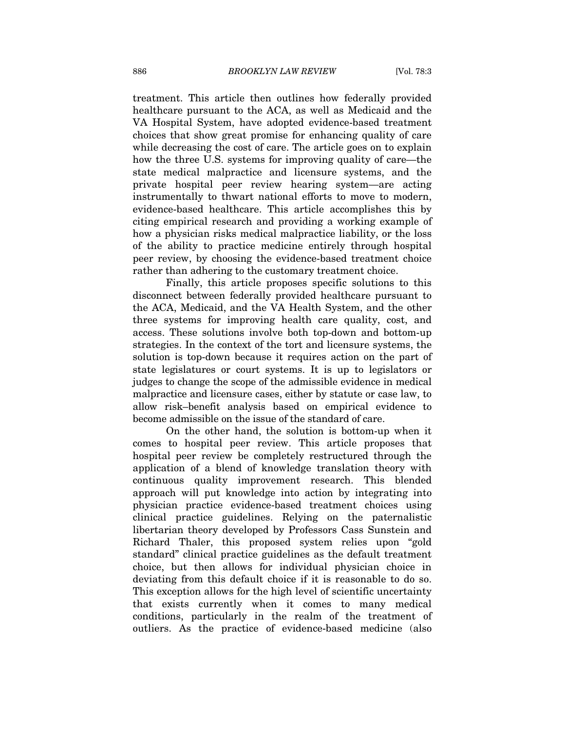treatment. This article then outlines how federally provided healthcare pursuant to the ACA, as well as Medicaid and the VA Hospital System, have adopted evidence-based treatment choices that show great promise for enhancing quality of care while decreasing the cost of care. The article goes on to explain how the three U.S. systems for improving quality of care—the state medical malpractice and licensure systems, and the private hospital peer review hearing system—are acting instrumentally to thwart national efforts to move to modern, evidence-based healthcare. This article accomplishes this by citing empirical research and providing a working example of how a physician risks medical malpractice liability, or the loss of the ability to practice medicine entirely through hospital peer review, by choosing the evidence-based treatment choice rather than adhering to the customary treatment choice.

Finally, this article proposes specific solutions to this disconnect between federally provided healthcare pursuant to the ACA, Medicaid, and the VA Health System, and the other three systems for improving health care quality, cost, and access. These solutions involve both top-down and bottom-up strategies. In the context of the tort and licensure systems, the solution is top-down because it requires action on the part of state legislatures or court systems. It is up to legislators or judges to change the scope of the admissible evidence in medical malpractice and licensure cases, either by statute or case law, to allow risk–benefit analysis based on empirical evidence to become admissible on the issue of the standard of care.

On the other hand, the solution is bottom-up when it comes to hospital peer review. This article proposes that hospital peer review be completely restructured through the application of a blend of knowledge translation theory with continuous quality improvement research. This blended approach will put knowledge into action by integrating into physician practice evidence-based treatment choices using clinical practice guidelines. Relying on the paternalistic libertarian theory developed by Professors Cass Sunstein and Richard Thaler, this proposed system relies upon "gold standard" clinical practice guidelines as the default treatment choice, but then allows for individual physician choice in deviating from this default choice if it is reasonable to do so. This exception allows for the high level of scientific uncertainty that exists currently when it comes to many medical conditions, particularly in the realm of the treatment of outliers. As the practice of evidence-based medicine (also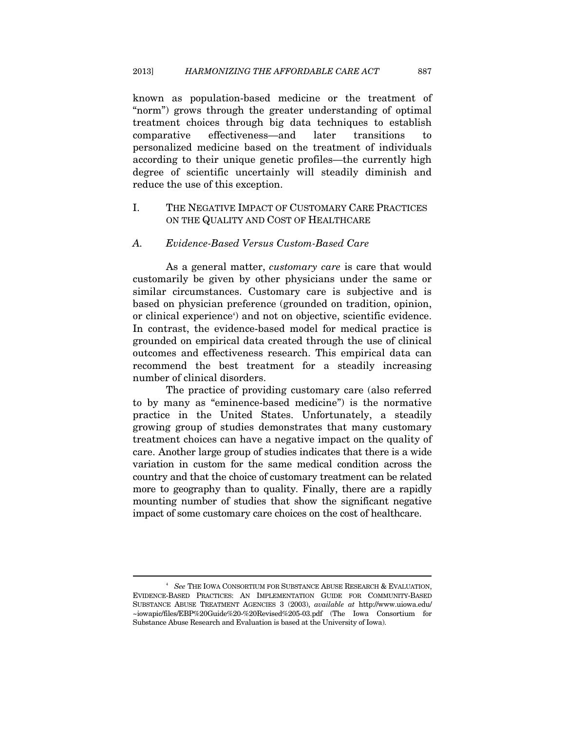known as population-based medicine or the treatment of "norm") grows through the greater understanding of optimal treatment choices through big data techniques to establish comparative effectiveness—and later transitions to personalized medicine based on the treatment of individuals according to their unique genetic profiles—the currently high degree of scientific uncertainly will steadily diminish and reduce the use of this exception.

# I. THE NEGATIVE IMPACT OF CUSTOMARY CARE PRACTICES ON THE QUALITY AND COST OF HEALTHCARE

#### *A. Evidence-Based Versus Custom-Based Care*

As a general matter, *customary care* is care that would customarily be given by other physicians under the same or similar circumstances. Customary care is subjective and is based on physician preference (grounded on tradition, opinion, or clinical experience<sup>4</sup>) and not on objective, scientific evidence. In contrast, the evidence-based model for medical practice is grounded on empirical data created through the use of clinical outcomes and effectiveness research. This empirical data can recommend the best treatment for a steadily increasing number of clinical disorders.

The practice of providing customary care (also referred to by many as "eminence-based medicine") is the normative practice in the United States. Unfortunately, a steadily growing group of studies demonstrates that many customary treatment choices can have a negative impact on the quality of care. Another large group of studies indicates that there is a wide variation in custom for the same medical condition across the country and that the choice of customary treatment can be related more to geography than to quality. Finally, there are a rapidly mounting number of studies that show the significant negative impact of some customary care choices on the cost of healthcare.

<sup>4</sup>  *See* THE IOWA CONSORTIUM FOR SUBSTANCE ABUSE RESEARCH & EVALUATION, EVIDENCE-BASED PRACTICES: AN IMPLEMENTATION GUIDE FOR COMMUNITY-BASED SUBSTANCE ABUSE TREATMENT AGENCIES 3 (2003), *available at* http://www.uiowa.edu/ ~iowapic/files/EBP%20Guide%20-%20Revised%205-03.pdf (The Iowa Consortium for Substance Abuse Research and Evaluation is based at the University of Iowa).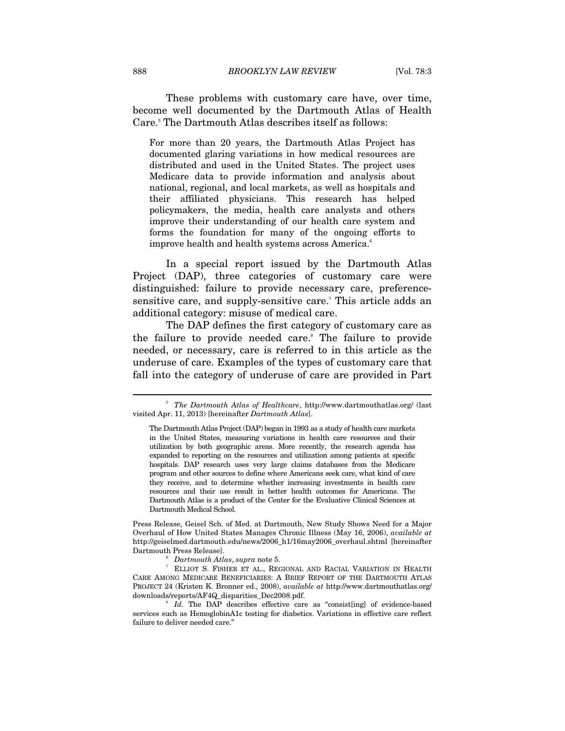These problems with customary care have, over time, become well documented by the Dartmouth Atlas of Health Care.<sup>5</sup> The Dartmouth Atlas describes itself as follows:

For more than 20 years, the Dartmouth Atlas Project has documented glaring variations in how medical resources are distributed and used in the United States. The project uses Medicare data to provide information and analysis about national, regional, and local markets, as well as hospitals and their affiliated physicians. This research has helped policymakers, the media, health care analysts and others improve their understanding of our health care system and forms the foundation for many of the ongoing efforts to improve health and health systems across America.<sup>6</sup>

In a special report issued by the Dartmouth Atlas Project (DAP), three categories of customary care were distinguished: failure to provide necessary care, preferencesensitive care, and supply-sensitive care.<sup>7</sup> This article adds an additional category: misuse of medical care.

The DAP defines the first category of customary care as the failure to provide needed care.<sup>8</sup> The failure to provide needed, or necessary, care is referred to in this article as the underuse of care. Examples of the types of customary care that fall into the category of underuse of care are provided in Part

Press Release, Geisel Sch. of Med. at Dartmouth, New Study Shows Need for a Major Overhaul of How United States Manages Chronic Illness (May 16, 2006), *available at* http://geiselmed.dartmouth.edu/news/2006\_h1/16may2006\_overhaul.shtml [hereinafter Dartmouth Press Release]. 6

 *Dartmouth Atlas*, *supra* note 5. 7

 ELLIOT S. FISHER ET AL., REGIONAL AND RACIAL VARIATION IN HEALTH CARE AMONG MEDICARE BENEFICIARIES: A BRIEF REPORT OF THE DARTMOUTH ATLAS PROJECT 24 (Kristen K. Bronner ed., 2008), *available at* http://www.dartmouthatlas.org/ downloads/reports/AF4Q\_disparities\_Dec2008.pdf. 8

 $I_d$ . The DAP describes effective care as "consist[ing] of evidence-based services such as HemoglobinA1c testing for diabetics. Variations in effective care reflect failure to deliver needed care."

<sup>&</sup>lt;sup>5</sup> The Dartmouth Atlas of Healthcare, http://www.dartmouthatlas.org/ (last visited Apr. 11, 2013) [hereinafter *Dartmouth Atlas*].

The Dartmouth Atlas Project (DAP) began in 1993 as a study of health care markets in the United States, measuring variations in health care resources and their utilization by both geographic areas. More recently, the research agenda has expanded to reporting on the resources and utilization among patients at specific hospitals. DAP research uses very large claims databases from the Medicare program and other sources to define where Americans seek care, what kind of care they receive, and to determine whether increasing investments in health care resources and their use result in better health outcomes for Americans. The Dartmouth Atlas is a product of the Center for the Evaluative Clinical Sciences at Dartmouth Medical School.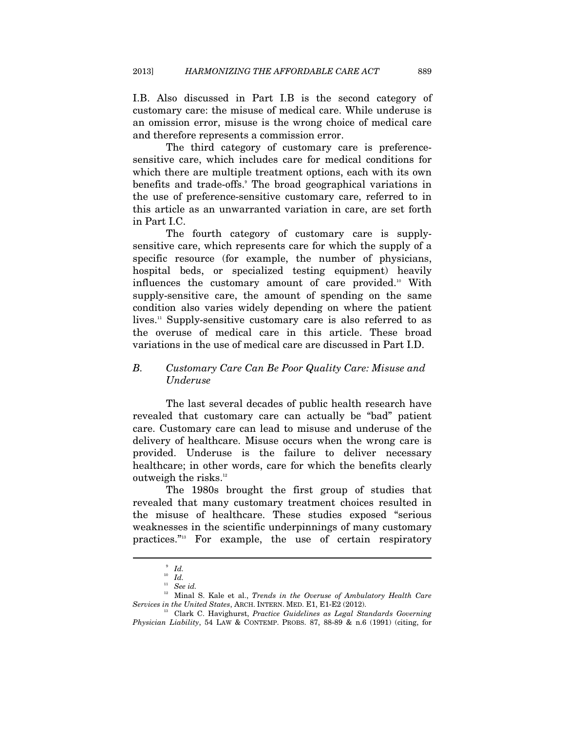I.B. Also discussed in Part I.B is the second category of customary care: the misuse of medical care. While underuse is an omission error, misuse is the wrong choice of medical care and therefore represents a commission error.

The third category of customary care is preferencesensitive care, which includes care for medical conditions for which there are multiple treatment options, each with its own benefits and trade-offs. The broad geographical variations in the use of preference-sensitive customary care, referred to in this article as an unwarranted variation in care, are set forth in Part I.C.

The fourth category of customary care is supplysensitive care, which represents care for which the supply of a specific resource (for example, the number of physicians, hospital beds, or specialized testing equipment) heavily influences the customary amount of care provided.<sup>10</sup> With supply-sensitive care, the amount of spending on the same condition also varies widely depending on where the patient lives.<sup>11</sup> Supply-sensitive customary care is also referred to as the overuse of medical care in this article. These broad variations in the use of medical care are discussed in Part I.D.

#### *B. Customary Care Can Be Poor Quality Care: Misuse and Underuse*

The last several decades of public health research have revealed that customary care can actually be "bad" patient care. Customary care can lead to misuse and underuse of the delivery of healthcare. Misuse occurs when the wrong care is provided. Underuse is the failure to deliver necessary healthcare; in other words, care for which the benefits clearly outweigh the risks.<sup>12</sup>

The 1980s brought the first group of studies that revealed that many customary treatment choices resulted in the misuse of healthcare. These studies exposed "serious weaknesses in the scientific underpinnings of many customary practices."13 For example, the use of certain respiratory

<sup>9</sup>  *Id.*

<sup>10</sup> *Id.*

<sup>11</sup> *See id.*

<sup>&</sup>lt;sup>12</sup> Minal S. Kale et al., *Trends in the Overuse of Ambulatory Health Care Services in the United States*, ARCH. INTERN. MED. E1, E1-E2 (2012).

<sup>&</sup>lt;sup>13</sup> Clark C. Havighurst, Practice Guidelines as Legal Standards Governing *Physician Liability*, 54 LAW & CONTEMP. PROBS. 87, 88-89 & n.6 (1991) (citing, for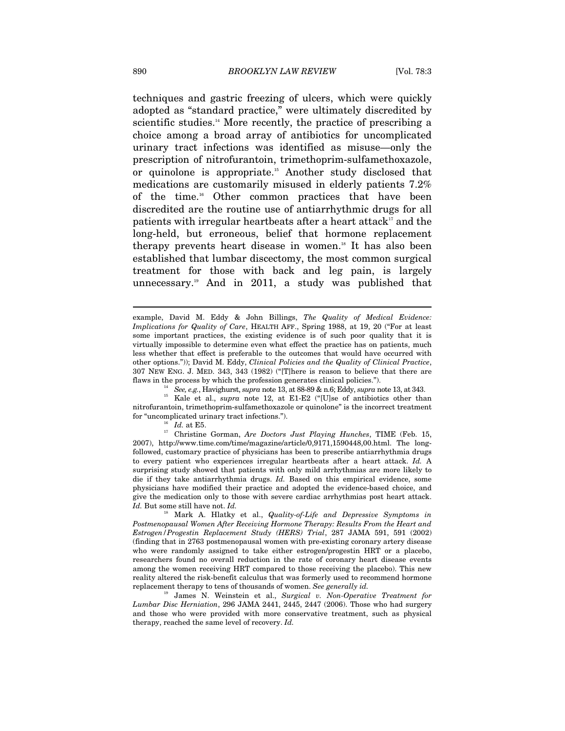techniques and gastric freezing of ulcers, which were quickly adopted as "standard practice," were ultimately discredited by scientific studies.<sup>14</sup> More recently, the practice of prescribing a choice among a broad array of antibiotics for uncomplicated urinary tract infections was identified as misuse—only the prescription of nitrofurantoin, trimethoprim-sulfamethoxazole, or quinolone is appropriate.15 Another study disclosed that medications are customarily misused in elderly patients 7.2% of the time.16 Other common practices that have been discredited are the routine use of antiarrhythmic drugs for all patients with irregular heartbeats after a heart attack<sup>17</sup> and the long-held, but erroneous, belief that hormone replacement therapy prevents heart disease in women.<sup>18</sup> It has also been established that lumbar discectomy, the most common surgical treatment for those with back and leg pain, is largely unnecessary.19 And in 2011, a study was published that

% flaws in the process by which the profession generates clinical policies.").<br>
<sup>14</sup> See, e.g., Havighurst, *supra* note 13, at 88-89 & n.6; Eddy, *supra* note 13, at 343.<br>
<sup>15</sup> Kale et al., *supra* note 12, at E1-E2 ("[U nitrofurantoin, trimethoprim-sulfamethoxazole or quinolone" is the incorrect treatment

for "uncomplicated urinary tract infections."). 16 *Id.* at E5. 17 Christine Gorman, *Are Doctors Just Playing Hunches*, TIME (Feb. 15, 2007), http://www.time.com/time/magazine/article/0,9171,1590448,00.html. The longfollowed, customary practice of physicians has been to prescribe antiarrhythmia drugs to every patient who experiences irregular heartbeats after a heart attack. *Id.* A surprising study showed that patients with only mild arrhythmias are more likely to die if they take antiarrhythmia drugs. *Id.* Based on this empirical evidence, some physicians have modified their practice and adopted the evidence-based choice, and give the medication only to those with severe cardiac arrhythmias post heart attack. *Id.* But some still have not. *Id.* 18 Mark A. Hlatky et al., *Quality-of-Life and Depressive Symptoms in* 

*Postmenopausal Women After Receiving Hormone Therapy: Results From the Heart and Estrogen/Progestin Replacement Study (HERS) Trial*, 287 JAMA 591, 591 (2002) (finding that in 2763 postmenopausal women with pre-existing coronary artery disease who were randomly assigned to take either estrogen/progestin HRT or a placebo, researchers found no overall reduction in the rate of coronary heart disease events among the women receiving HRT compared to those receiving the placebo). This new reality altered the risk-benefit calculus that was formerly used to recommend hormone replacement therapy to tens of thousands of women. *See generally id.*

19 James N. Weinstein et al., *Surgical v. Non-Operative Treatment for Lumbar Disc Herniation*, 296 JAMA 2441, 2445, 2447 (2006). Those who had surgery and those who were provided with more conservative treatment, such as physical therapy, reached the same level of recovery. *Id.*

example, David M. Eddy & John Billings, *The Quality of Medical Evidence: Implications for Quality of Care*, HEALTH AFF., Spring 1988, at 19, 20 ("For at least some important practices, the existing evidence is of such poor quality that it is virtually impossible to determine even what effect the practice has on patients, much less whether that effect is preferable to the outcomes that would have occurred with other options.")); David M. Eddy, *Clinical Policies and the Quality of Clinical Practice*, 307 NEW ENG. J. MED. 343, 343 (1982) ("[T]here is reason to believe that there are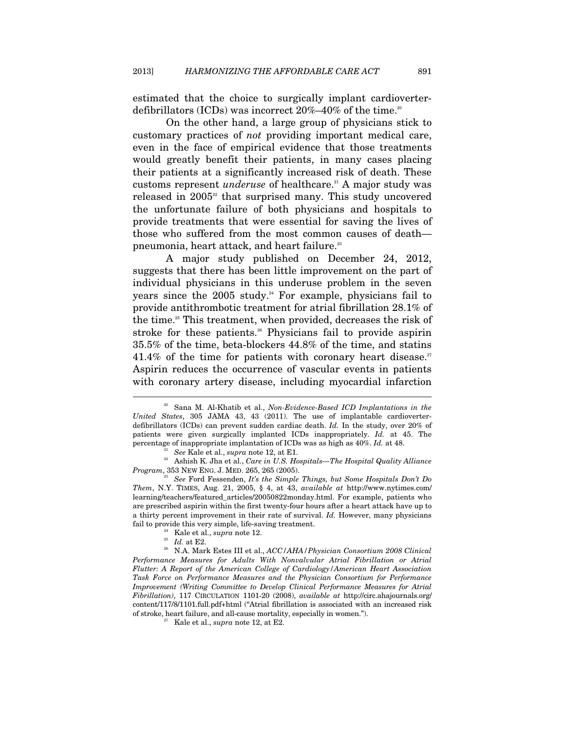estimated that the choice to surgically implant cardioverterdefibrillators (ICDs) was incorrect  $20\%-40\%$  of the time.<sup>20</sup>

On the other hand, a large group of physicians stick to customary practices of *not* providing important medical care, even in the face of empirical evidence that those treatments would greatly benefit their patients, in many cases placing their patients at a significantly increased risk of death. These customs represent *underuse* of healthcare.<sup>21</sup> A major study was released in  $2005^2$  that surprised many. This study uncovered the unfortunate failure of both physicians and hospitals to provide treatments that were essential for saving the lives of those who suffered from the most common causes of death pneumonia, heart attack, and heart failure.<sup>23</sup>

A major study published on December 24, 2012, suggests that there has been little improvement on the part of individual physicians in this underuse problem in the seven years since the  $2005$  study.<sup>24</sup> For example, physicians fail to provide antithrombotic treatment for atrial fibrillation 28.1% of the time.<sup>25</sup> This treatment, when provided, decreases the risk of stroke for these patients.<sup>26</sup> Physicians fail to provide aspirin 35.5% of the time, beta-blockers 44.8% of the time, and statins 41.4% of the time for patients with coronary heart disease.<sup>27</sup> Aspirin reduces the occurrence of vascular events in patients with coronary artery disease, including myocardial infarction

<sup>20</sup> Sana M. Al-Khatib et al., *Non-Evidence-Based ICD Implantations in the United States*, 305 JAMA 43, 43 (2011). The use of implantable cardioverterdefibrillators (ICDs) can prevent sudden cardiac death. *Id.* In the study, over 20% of patients were given surgically implanted ICDs inappropriately. *Id.* at 45. The percentage of inappropriate implantation of ICDs was as high as  $40\%$ . Id. at 48.<br><sup>21</sup> See Kale et al., *supra* note 12, at E1.<br><sup>22</sup> Ashish K. Jha et al., *Care in U.S. Hospitals—The Hospital Quality Alliance* 

*Program*, 353 NEW ENG. J. MED. 265, 265 (2005). 23 *See* Ford Fessenden, *It's the Simple Things, but Some Hospitals Don't Do* 

*Them*, N.Y. TIMES, Aug. 21, 2005, § 4, at 43, *available at* http://www.nytimes.com/ learning/teachers/featured\_articles/20050822monday.html. For example, patients who are prescribed aspirin within the first twenty-four hours after a heart attack have up to a thirty percent improvement in their rate of survival. *Id.* However, many physicians fail to provide this very simple, life-saving treatment.<br><sup>24</sup> Kale et al., *supra* note 12.<br><sup>25</sup> *Id.* at E2.<br><sup>26</sup> N.A. Mark Estes III et al., *ACC/AHA/Physician Consortium 2008 Clinical* 

*Performance Measures for Adults With Nonvalvular Atrial Fibrillation or Atrial Flutter: A Report of the American College of Cardiology/American Heart Association Task Force on Performance Measures and the Physician Consortium for Performance Improvement (Writing Committee to Develop Clinical Performance Measures for Atrial Fibrillation)*, 117 CIRCULATION 1101-20 (2008), *available at* http://circ.ahajournals.org/ content/117/8/1101.full.pdf+html ("Atrial fibrillation is associated with an increased risk of stroke, heart failure, and all-cause mortality, especially in women."). 27 Kale et al., *supra* note 12, at E2.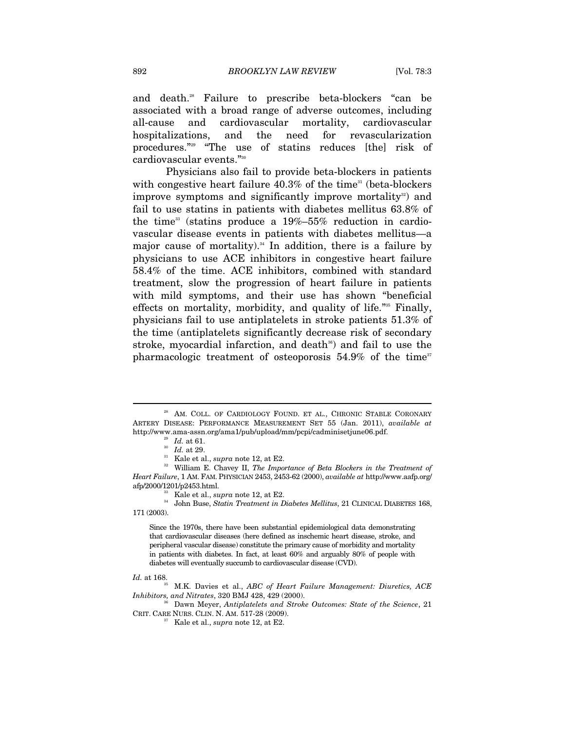and death.28 Failure to prescribe beta-blockers "can be associated with a broad range of adverse outcomes, including all-cause and cardiovascular mortality, cardiovascular hospitalizations, and the need for revascularization procedures."29 "The use of statins reduces [the] risk of cardiovascular events."30

Physicians also fail to provide beta-blockers in patients with congestive heart failure  $40.3\%$  of the time<sup>31</sup> (beta-blockers improve symptoms and significantly improve mortality<sup>32</sup>) and fail to use statins in patients with diabetes mellitus 63.8% of the time<sup>33</sup> (statins produce a  $19\% - 55\%$  reduction in cardiovascular disease events in patients with diabetes mellitus—a major cause of mortality). $34$  In addition, there is a failure by physicians to use ACE inhibitors in congestive heart failure 58.4% of the time. ACE inhibitors, combined with standard treatment, slow the progression of heart failure in patients with mild symptoms, and their use has shown "beneficial effects on mortality, morbidity, and quality of life."35 Finally, physicians fail to use antiplatelets in stroke patients 51.3% of the time (antiplatelets significantly decrease risk of secondary stroke, myocardial infarction, and death<sup>36</sup>) and fail to use the pharmacologic treatment of osteoporosis  $54.9\%$  of the time<sup>37</sup>

<sup>&</sup>lt;sup>28</sup> AM. COLL. OF CARDIOLOGY FOUND. ET AL., CHRONIC STABLE CORONARY ARTERY DISEASE: PERFORMANCE MEASUREMENT SET 55 (Jan. 2011), *available at* http://www.ama-assn.org/ama1/pub/upload/mm/pcpi/cadminisetjune06.pdf.<br>
<sup>29</sup> Id. at 61.<br>
<sup>30</sup> Id. at 29.<br>
<sup>31</sup> Kale et al., *supra* note 12, at E2.<br>
<sup>32</sup> William E. Chavey II, *The Importance of Beta Blockers in the Treatm* 

*Heart Failure*, 1 AM. FAM. PHYSICIAN 2453, 2453-62 (2000), *available at* http://www.aafp.org/

afp/2000/1201/p2453.html.<br><sup>33</sup> Kale et al., *supra* note 12, at E2.<br><sup>34</sup> John Buse, *Statin Treatment in Diabetes Mellitus*, 21 CLINICAL DIABETES 168, 171 (2003).

Since the 1970s, there have been substantial epidemiological data demonstrating that cardiovascular diseases (here defined as inschemic heart disease, stroke, and peripheral vascular disease) constitute the primary cause of morbidity and mortality in patients with diabetes. In fact, at least 60% and arguably 80% of people with diabetes will eventually succumb to cardiovascular disease (CVD).

*Id.* at 168.<br><sup>35</sup> M.K. Davies et al., *ABC of Heart Failure Management: Diuretics, ACE Inhibitors, and Nitrates,* 320 BMJ 428, 429 (2000).

*Dawn Meyer, Antiplatelets and Stroke Outcomes: State of the Science, 21* CRIT. CARE NURS. CLIN. N. AM. 517-28 (2009). 37 Kale et al., *supra* note 12, at E2.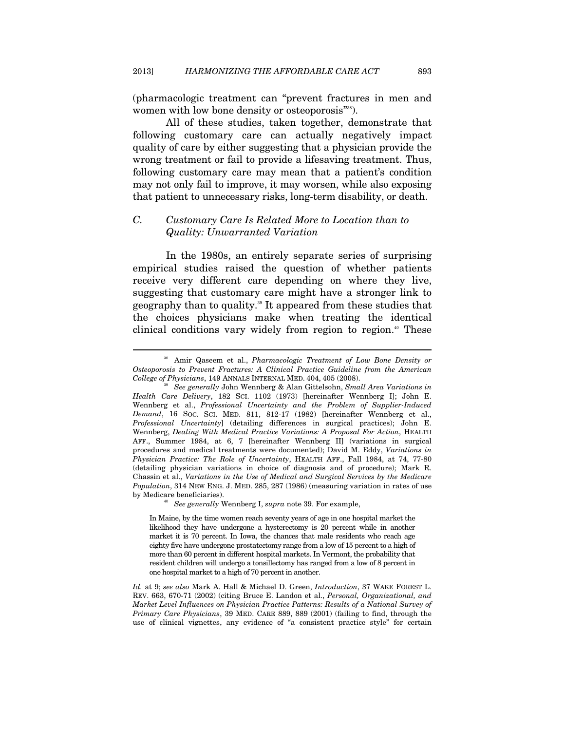(pharmacologic treatment can "prevent fractures in men and women with low bone density or osteoporosis"<sup>388</sup>).

All of these studies, taken together, demonstrate that following customary care can actually negatively impact quality of care by either suggesting that a physician provide the wrong treatment or fail to provide a lifesaving treatment. Thus, following customary care may mean that a patient's condition may not only fail to improve, it may worsen, while also exposing that patient to unnecessary risks, long-term disability, or death.

# *C. Customary Care Is Related More to Location than to Quality: Unwarranted Variation*

In the 1980s, an entirely separate series of surprising empirical studies raised the question of whether patients receive very different care depending on where they live, suggesting that customary care might have a stronger link to geography than to quality.39 It appeared from these studies that the choices physicians make when treating the identical clinical conditions vary widely from region to region.<sup>40</sup> These

<sup>38</sup> Amir Qaseem et al., *Pharmacologic Treatment of Low Bone Density or Osteoporosis to Prevent Fractures: A Clinical Practice Guideline from the American* 

<sup>&</sup>lt;sup>9</sup> See generally John Wennberg & Alan Gittelsohn, *Small Area Variations in Health Care Delivery*, 182 SCI. 1102 (1973) [hereinafter Wennberg I]; John E. Wennberg et al., *Professional Uncertainty and the Problem of Supplier-Induced Demand*, 16 SOC. SCI. MED. 811, 812-17 (1982) [hereinafter Wennberg et al., *Professional Uncertainty*] (detailing differences in surgical practices); John E. Wennberg, *Dealing With Medical Practice Variations: A Proposal For Action*, HEALTH AFF., Summer 1984, at 6, 7 [hereinafter Wennberg II] (variations in surgical procedures and medical treatments were documented); David M. Eddy, *Variations in Physician Practice: The Role of Uncertainty*, HEALTH AFF., Fall 1984, at 74, 77-80 (detailing physician variations in choice of diagnosis and of procedure); Mark R. Chassin et al., *Variations in the Use of Medical and Surgical Services by the Medicare Population*, 314 NEW ENG. J. MED. 285, 287 (1986) (measuring variation in rates of use by Medicare beneficiaries). 40 *See generally* Wennberg I, *supra* note 39. For example,

In Maine, by the time women reach seventy years of age in one hospital market the likelihood they have undergone a hysterectomy is 20 percent while in another market it is 70 percent. In Iowa, the chances that male residents who reach age eighty five have undergone prostatectomy range from a low of 15 percent to a high of more than 60 percent in different hospital markets. In Vermont, the probability that resident children will undergo a tonsillectomy has ranged from a low of 8 percent in one hospital market to a high of 70 percent in another.

*Id.* at 9; *see also* Mark A. Hall & Michael D. Green, *Introduction*, 37 WAKE FOREST L. REV. 663, 670-71 (2002) (citing Bruce E. Landon et al., *Personal, Organizational, and Market Level Influences on Physician Practice Patterns: Results of a National Survey of Primary Care Physicians*, 39 MED. CARE 889, 889 (2001) (failing to find, through the use of clinical vignettes, any evidence of "a consistent practice style" for certain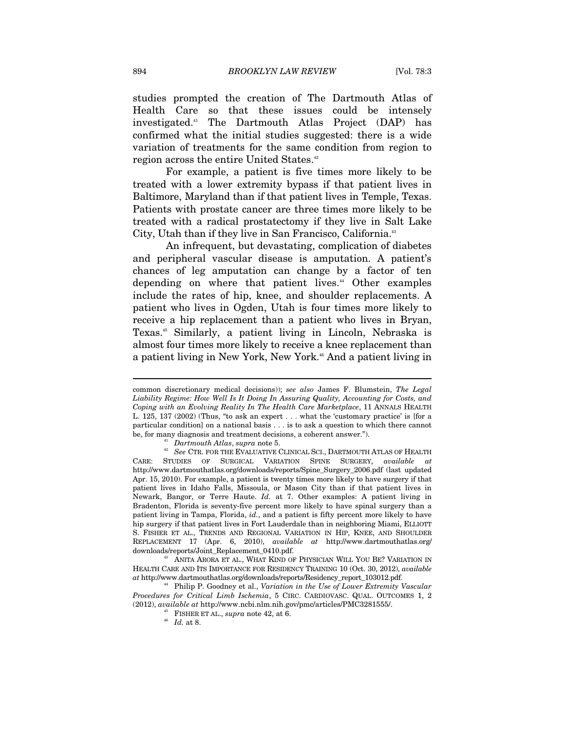studies prompted the creation of The Dartmouth Atlas of Health Care so that these issues could be intensely investigated.41 The Dartmouth Atlas Project (DAP) has confirmed what the initial studies suggested: there is a wide variation of treatments for the same condition from region to region across the entire United States.<sup>42</sup>

For example, a patient is five times more likely to be treated with a lower extremity bypass if that patient lives in Baltimore, Maryland than if that patient lives in Temple, Texas. Patients with prostate cancer are three times more likely to be treated with a radical prostatectomy if they live in Salt Lake City, Utah than if they live in San Francisco, California.<sup>43</sup>

An infrequent, but devastating, complication of diabetes and peripheral vascular disease is amputation. A patient's chances of leg amputation can change by a factor of ten depending on where that patient lives.<sup>44</sup> Other examples include the rates of hip, knee, and shoulder replacements. A patient who lives in Ogden, Utah is four times more likely to receive a hip replacement than a patient who lives in Bryan, Texas.<sup>45</sup> Similarly, a patient living in Lincoln, Nebraska is almost four times more likely to receive a knee replacement than a patient living in New York, New York.<sup>46</sup> And a patient living in

common discretionary medical decisions)); *see also* James F. Blumstein, *The Legal Liability Regime: How Well Is It Doing In Assuring Quality, Accounting for Costs, and Coping with an Evolving Reality In The Health Care Marketplace*, 11 ANNALS HEALTH L. 125, 137 (2002) (Thus, "to ask an expert . . . what the 'customary practice' is [for a particular condition] on a national basis . . . is to ask a question to which there cannot

be, for many diagnosis and treatment decisions, a coherent answer.").<br><sup>41</sup> *Dartmouth Atlas*, *supra* note 5.<br><sup>42</sup> *See* CTR. FOR THE EVALUATIVE CLINICAL SCI., DARTMOUTH ATLAS OF HEALTH CARE: STUDIES OF SURGICAL VARIATION SPINE SURGERY, *available at* http://www.dartmouthatlas.org/downloads/reports/Spine\_Surgery\_2006.pdf (last updated Apr. 15, 2010). For example, a patient is twenty times more likely to have surgery if that patient lives in Idaho Falls, Missoula, or Mason City than if that patient lives in Newark, Bangor, or Terre Haute. *Id.* at 7. Other examples: A patient living in Bradenton, Florida is seventy-five percent more likely to have spinal surgery than a patient living in Tampa, Florida, *id.*, and a patient is fifty percent more likely to have hip surgery if that patient lives in Fort Lauderdale than in neighboring Miami, ELLIOTT S. FISHER ET AL., TRENDS AND REGIONAL VARIATION IN HIP, KNEE, AND SHOULDER REPLACEMENT 17 (Apr. 6, 2010), *available at* http://www.dartmouthatlas.org/ downloads/reports/Joint\_Replacement\_0410.pdf. 43 ANITA ARORA ET AL., WHAT KIND OF PHYSICIAN WILL YOU BE? VARIATION IN

HEALTH CARE AND ITS IMPORTANCE FOR RESIDENCY TRAINING 10 (Oct. 30, 2012), *available* 

<sup>&</sup>lt;sup>44</sup> Philip P. Goodney et al., Variation in the Use of Lower Extremity Vascular *Procedures for Critical Limb Ischemia*, 5 CIRC. CARDIOVASC. QUAL. OUTCOMES 1, 2 (2012), available at http://www.ncbi.nlm.nih.gov/pmc/articles/PMC3281555/.  $^{46}$  FISHER ET AL., *supra* note 42, at 6.  $^{46}$  *Id.* at 8.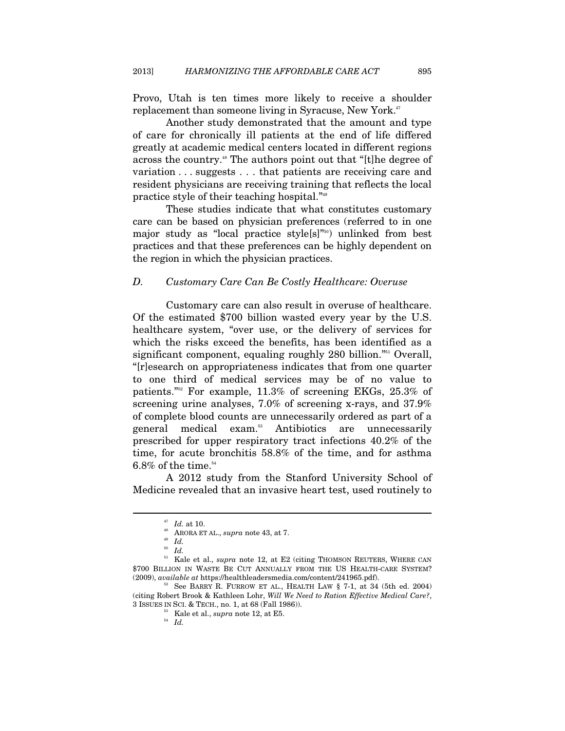Provo, Utah is ten times more likely to receive a shoulder replacement than someone living in Syracuse, New York.<sup>47</sup>

Another study demonstrated that the amount and type of care for chronically ill patients at the end of life differed greatly at academic medical centers located in different regions across the country.<sup>48</sup> The authors point out that "[t]he degree of variation . . . suggests . . . that patients are receiving care and resident physicians are receiving training that reflects the local practice style of their teaching hospital."49

These studies indicate that what constitutes customary care can be based on physician preferences (referred to in one major study as "local practice style[s]"50) unlinked from best practices and that these preferences can be highly dependent on the region in which the physician practices.

#### *D. Customary Care Can Be Costly Healthcare: Overuse*

Customary care can also result in overuse of healthcare. Of the estimated \$700 billion wasted every year by the U.S. healthcare system, "over use, or the delivery of services for which the risks exceed the benefits, has been identified as a significant component, equaling roughly 280 billion."<sup>51</sup> Overall, "[r]esearch on appropriateness indicates that from one quarter to one third of medical services may be of no value to patients."52 For example, 11.3% of screening EKGs, 25.3% of screening urine analyses, 7.0% of screening x-rays, and 37.9% of complete blood counts are unnecessarily ordered as part of a general medical exam.53 Antibiotics are unnecessarily prescribed for upper respiratory tract infections 40.2% of the time, for acute bronchitis 58.8% of the time, and for asthma  $6.8\%$  of the time. $^{54}$ 

A 2012 study from the Stanford University School of Medicine revealed that an invasive heart test, used routinely to

<sup>&</sup>lt;sup>47</sup> Id. at 10.<br><sup>48</sup> ARORA ET AL., *supra* note 43, at 7.<br><sup>50</sup> Id.<br><sup>51</sup> Kale et al., *supra* note 12, at E2 (citing THOMSON REUTERS, WHERE CAN \$700 BILLION IN WASTE BE CUT ANNUALLY FROM THE US HEALTH-CARE SYSTEM? (2009), *available at* https://healthleadersmedia.com/content/241965.pdf).

<sup>&</sup>lt;sup>32</sup> See BARRY R. FURROW ET AL., HEALTH LAW  $\S$  7-1, at 34 (5th ed. 2004) (citing Robert Brook & Kathleen Lohr, *Will We Need to Ration Effective Medical Care?*, 3 ISSUES IN SCI. & TECH., no. 1, at 68 (Fall 1986)).

 $\frac{53}{54}$  Kale et al., *supra* note 12, at E5.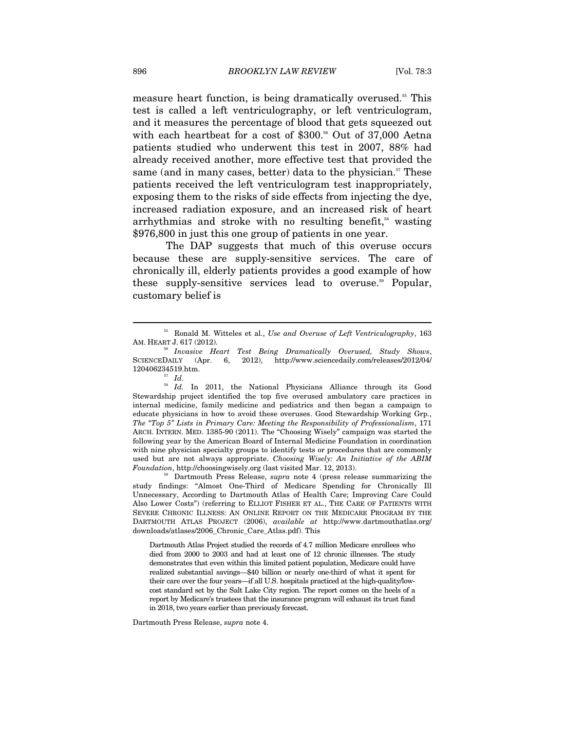measure heart function, is being dramatically overused.<sup>55</sup> This test is called a left ventriculography, or left ventriculogram, and it measures the percentage of blood that gets squeezed out with each heartbeat for a cost of  $$300.56$  Out of 37,000 Aetna patients studied who underwent this test in 2007, 88% had already received another, more effective test that provided the same (and in many cases, better) data to the physician. $57$  These patients received the left ventriculogram test inappropriately, exposing them to the risks of side effects from injecting the dye, increased radiation exposure, and an increased risk of heart arrhythmias and stroke with no resulting benefit,<sup>58</sup> wasting \$976,800 in just this one group of patients in one year.

The DAP suggests that much of this overuse occurs because these are supply-sensitive services. The care of chronically ill, elderly patients provides a good example of how these supply-sensitive services lead to overuse.<sup>59</sup> Popular, customary belief is

 $\overline{a}$ 

Dartmouth Press Release, *supra* note 4.

<sup>55</sup> Ronald M. Witteles et al., *Use and Overuse of Left Ventriculography*, 163 AM. HEART J. 617 (2012). 56 *Invasive Heart Test Being Dramatically Overused, Study Shows*,

SCIENCEDAILY (Apr. 6, 2012), http://www.sciencedaily.com/releases/2012/04/ 120406234519.htm. 57 *Id.*

<sup>&</sup>lt;sup>58</sup> Id. In 2011, the National Physicians Alliance through its Good Stewardship project identified the top five overused ambulatory care practices in internal medicine, family medicine and pediatrics and then began a campaign to educate physicians in how to avoid these overuses. Good Stewardship Working Grp., *The "Top 5" Lists in Primary Care: Meeting the Responsibility of Professionalism*, 171 ARCH. INTERN. MED. 1385-90 (2011). The "Choosing Wisely" campaign was started the following year by the American Board of Internal Medicine Foundation in coordination with nine physician specialty groups to identify tests or procedures that are commonly used but are not always appropriate. *Choosing Wisely: An Initiative of the ABIM Foundation*, http://choosingwisely.org (last visited Mar. 12, 2013).<br><sup>59</sup> Dartmouth Press Release, *supra* note 4 (press release summarizing the

study findings: "Almost One-Third of Medicare Spending for Chronically Ill Unnecessary, According to Dartmouth Atlas of Health Care; Improving Care Could Also Lower Costs") (referring to ELLIOT FISHER ET AL., THE CARE OF PATIENTS WITH SEVERE CHRONIC ILLNESS: AN ONLINE REPORT ON THE MEDICARE PROGRAM BY THE DARTMOUTH ATLAS PROJECT (2006), *available at* http://www.dartmouthatlas.org/ downloads/atlases/2006\_Chronic\_Care\_Atlas.pdf). This

Dartmouth Atlas Project studied the records of 4.7 million Medicare enrollees who died from 2000 to 2003 and had at least one of 12 chronic illnesses. The study demonstrates that even within this limited patient population, Medicare could have realized substantial savings—\$40 billion or nearly one-third of what it spent for their care over the four years—if all U.S. hospitals practiced at the high-quality/lowcost standard set by the Salt Lake City region. The report comes on the heels of a report by Medicare's trustees that the insurance program will exhaust its trust fund in 2018, two years earlier than previously forecast.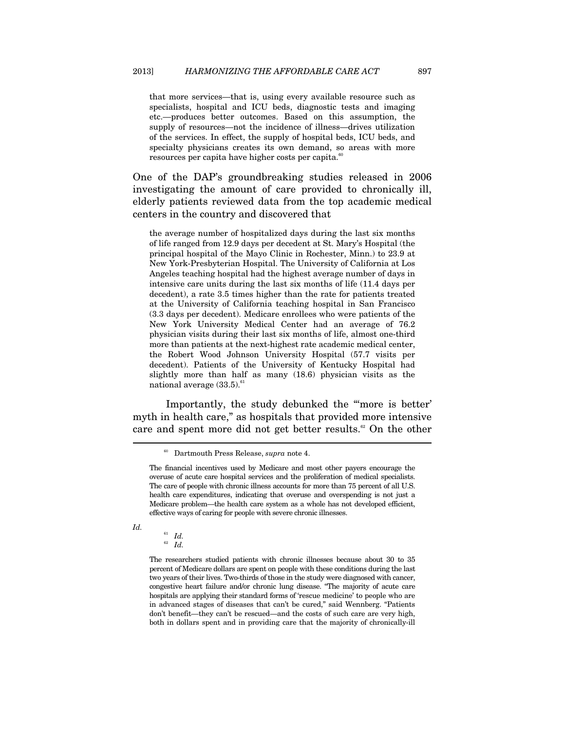that more services—that is, using every available resource such as specialists, hospital and ICU beds, diagnostic tests and imaging etc.—produces better outcomes. Based on this assumption, the supply of resources—not the incidence of illness—drives utilization of the services. In effect, the supply of hospital beds, ICU beds, and specialty physicians creates its own demand, so areas with more resources per capita have higher costs per capita. $60$ 

One of the DAP's groundbreaking studies released in 2006 investigating the amount of care provided to chronically ill, elderly patients reviewed data from the top academic medical centers in the country and discovered that

the average number of hospitalized days during the last six months of life ranged from 12.9 days per decedent at St. Mary's Hospital (the principal hospital of the Mayo Clinic in Rochester, Minn.) to 23.9 at New York-Presbyterian Hospital. The University of California at Los Angeles teaching hospital had the highest average number of days in intensive care units during the last six months of life (11.4 days per decedent), a rate 3.5 times higher than the rate for patients treated at the University of California teaching hospital in San Francisco (3.3 days per decedent). Medicare enrollees who were patients of the New York University Medical Center had an average of 76.2 physician visits during their last six months of life, almost one-third more than patients at the next-highest rate academic medical center, the Robert Wood Johnson University Hospital (57.7 visits per decedent). Patients of the University of Kentucky Hospital had slightly more than half as many (18.6) physician visits as the national average  $(33.5)^{61}$ 

Importantly, the study debunked the "'more is better' myth in health care," as hospitals that provided more intensive care and spent more did not get better results.<sup>62</sup> On the other

*Id.* 

<sup>61</sup> *Id.* 62 *Id.*

The researchers studied patients with chronic illnesses because about 30 to 35 percent of Medicare dollars are spent on people with these conditions during the last two years of their lives. Two-thirds of those in the study were diagnosed with cancer, congestive heart failure and/or chronic lung disease. "The majority of acute care hospitals are applying their standard forms of 'rescue medicine' to people who are in advanced stages of diseases that can't be cured," said Wennberg. "Patients don't benefit—they can't be rescued—and the costs of such care are very high, both in dollars spent and in providing care that the majority of chronically-ill

<sup>60</sup> Dartmouth Press Release, *supra* note 4.

The financial incentives used by Medicare and most other payers encourage the overuse of acute care hospital services and the proliferation of medical specialists. The care of people with chronic illness accounts for more than 75 percent of all U.S. health care expenditures, indicating that overuse and overspending is not just a Medicare problem—the health care system as a whole has not developed efficient, effective ways of caring for people with severe chronic illnesses.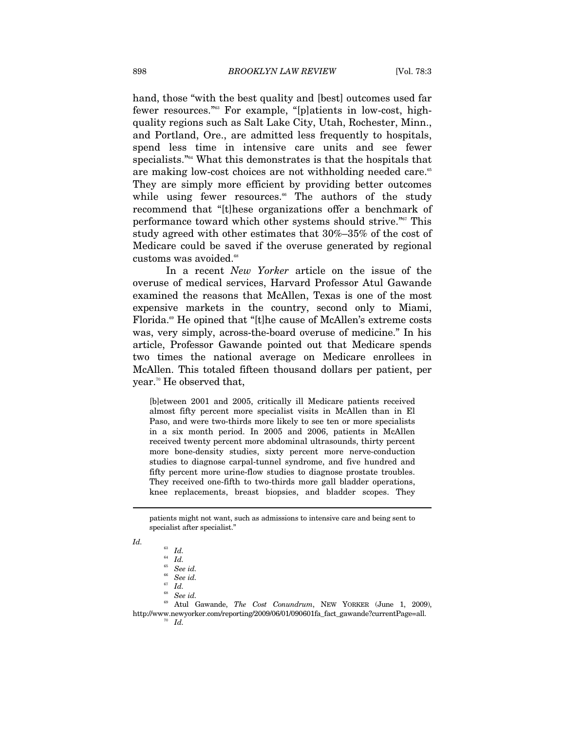hand, those "with the best quality and [best] outcomes used far fewer resources."63 For example, "[p]atients in low-cost, highquality regions such as Salt Lake City, Utah, Rochester, Minn., and Portland, Ore., are admitted less frequently to hospitals, spend less time in intensive care units and see fewer specialists."64 What this demonstrates is that the hospitals that are making low-cost choices are not withholding needed care.<sup>65</sup> They are simply more efficient by providing better outcomes while using fewer resources.<sup>66</sup> The authors of the study recommend that "[t]hese organizations offer a benchmark of performance toward which other systems should strive."67 This study agreed with other estimates that 30%–35% of the cost of Medicare could be saved if the overuse generated by regional customs was avoided.<sup>68</sup>

In a recent *New Yorker* article on the issue of the overuse of medical services, Harvard Professor Atul Gawande examined the reasons that McAllen, Texas is one of the most expensive markets in the country, second only to Miami, Florida.<sup>69</sup> He opined that "[t]he cause of McAllen's extreme costs was, very simply, across-the-board overuse of medicine." In his article, Professor Gawande pointed out that Medicare spends two times the national average on Medicare enrollees in McAllen. This totaled fifteen thousand dollars per patient, per year.70 He observed that,

[b]etween 2001 and 2005, critically ill Medicare patients received almost fifty percent more specialist visits in McAllen than in El Paso, and were two-thirds more likely to see ten or more specialists in a six month period. In 2005 and 2006, patients in McAllen received twenty percent more abdominal ultrasounds, thirty percent more bone-density studies, sixty percent more nerve-conduction studies to diagnose carpal-tunnel syndrome, and five hundred and fifty percent more urine-flow studies to diagnose prostate troubles. They received one-fifth to two-thirds more gall bladder operations, knee replacements, breast biopsies, and bladder scopes. They

patients might not want, such as admissions to intensive care and being sent to specialist after specialist."

*Id.* 

<sup>63</sup> *Id.*

<sup>64</sup> *Id.*

<sup>65</sup> *See id.*

<sup>66</sup> *See id.* 

<sup>&</sup>lt;sup>67</sup> *Id.*<br><sup>68</sup> *See id.* 

<sup>&</sup>lt;sup>69</sup> Atul Gawande, *The Cost Conundrum*, NEW YORKER (June 1, 2009), http://www.newyorker.com/reporting/2009/06/01/090601fa\_fact\_gawande?currentPage=all. 70 *Id.*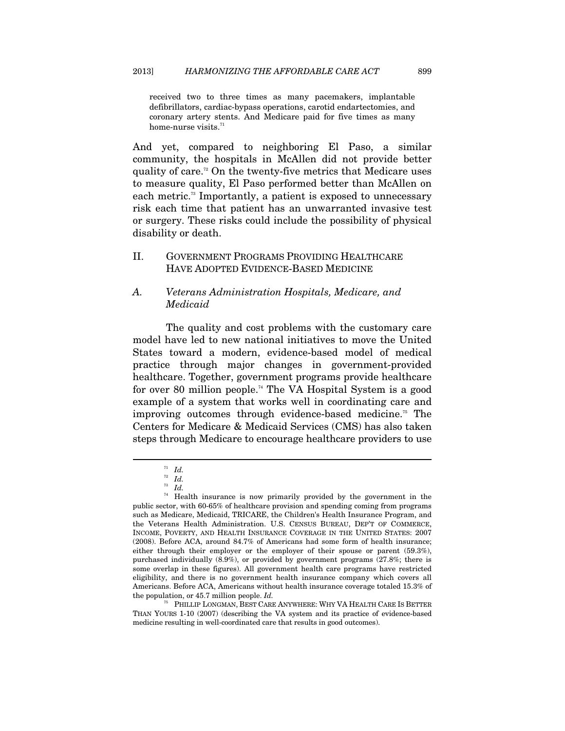received two to three times as many pacemakers, implantable defibrillators, cardiac-bypass operations, carotid endartectomies, and coronary artery stents. And Medicare paid for five times as many home-nurse visits. $^{71}$ 

And yet, compared to neighboring El Paso, a similar community, the hospitals in McAllen did not provide better quality of care.<sup>72</sup> On the twenty-five metrics that Medicare uses to measure quality, El Paso performed better than McAllen on each metric.<sup>73</sup> Importantly, a patient is exposed to unnecessary risk each time that patient has an unwarranted invasive test or surgery. These risks could include the possibility of physical disability or death.

## II. GOVERNMENT PROGRAMS PROVIDING HEALTHCARE HAVE ADOPTED EVIDENCE-BASED MEDICINE

# *A. Veterans Administration Hospitals, Medicare, and Medicaid*

The quality and cost problems with the customary care model have led to new national initiatives to move the United States toward a modern, evidence-based model of medical practice through major changes in government-provided healthcare. Together, government programs provide healthcare for over 80 million people.74 The VA Hospital System is a good example of a system that works well in coordinating care and improving outcomes through evidence-based medicine.<sup>75</sup> The Centers for Medicare & Medicaid Services (CMS) has also taken steps through Medicare to encourage healthcare providers to use

<sup>71</sup> *Id.*

<sup>72</sup> *Id.*

<sup>73</sup> *Id.*

 $74$  Health insurance is now primarily provided by the government in the public sector, with 60-65% of healthcare provision and spending coming from programs such as Medicare, Medicaid, TRICARE, the Children's Health Insurance Program, and the Veterans Health Administration. U.S. CENSUS BUREAU, DEP'T OF COMMERCE, INCOME, POVERTY, AND HEALTH INSURANCE COVERAGE IN THE UNITED STATES: 2007 (2008). Before ACA, around 84.7% of Americans had some form of health insurance; either through their employer or the employer of their spouse or parent (59.3%), purchased individually (8.9%), or provided by government programs (27.8%; there is some overlap in these figures). All government health care programs have restricted eligibility, and there is no government health insurance company which covers all Americans. Before ACA, Americans without health insurance coverage totaled 15.3% of the population, or 45.7 million people. *Id.*

<sup>75</sup> PHILLIP LONGMAN, BEST CARE ANYWHERE: WHY VA HEALTH CARE IS BETTER THAN YOURS 1-10 (2007) (describing the VA system and its practice of evidence-based medicine resulting in well-coordinated care that results in good outcomes).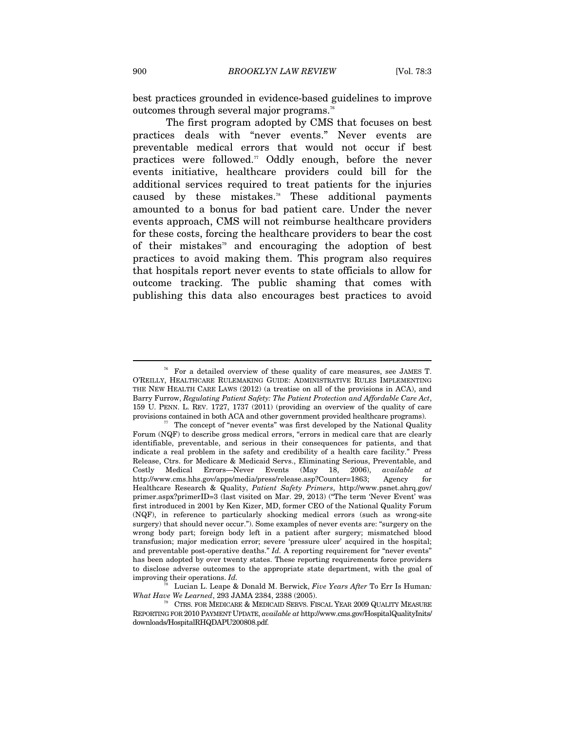best practices grounded in evidence-based guidelines to improve outcomes through several major programs.<sup>76</sup>

The first program adopted by CMS that focuses on best practices deals with "never events." Never events are preventable medical errors that would not occur if best practices were followed.<sup>77</sup> Oddly enough, before the never events initiative, healthcare providers could bill for the additional services required to treat patients for the injuries caused by these mistakes.78 These additional payments amounted to a bonus for bad patient care. Under the never events approach, CMS will not reimburse healthcare providers for these costs, forcing the healthcare providers to bear the cost of their mistakes<sup>79</sup> and encouraging the adoption of best practices to avoid making them. This program also requires that hospitals report never events to state officials to allow for outcome tracking. The public shaming that comes with publishing this data also encourages best practices to avoid

78 Lucian L. Leape & Donald M. Berwick, *Five Years After* To Err Is Human*:* 

 $76$  For a detailed overview of these quality of care measures, see JAMES T. O'REILLY, HEALTHCARE RULEMAKING GUIDE: ADMINISTRATIVE RULES IMPLEMENTING THE NEW HEALTH CARE LAWS (2012) (a treatise on all of the provisions in ACA), and Barry Furrow, *Regulating Patient Safety: The Patient Protection and Affordable Care Act*, 159 U. PENN. L. REV. 1727, 1737 (2011) (providing an overview of the quality of care provisions contained in both ACA and other government provided healthcare programs). The concept of "never events" was first developed by the National Quality

Forum (NQF) to describe gross medical errors, "errors in medical care that are clearly identifiable, preventable, and serious in their consequences for patients, and that indicate a real problem in the safety and credibility of a health care facility." Press Release, Ctrs. for Medicare & Medicaid Servs., Eliminating Serious, Preventable, and Costly Medical Errors—Never Events (May 18, 2006), *available at*  http://www.cms.hhs.gov/apps/media/press/release.asp?Counter=1863; Agency for Healthcare Research & Quality, *Patient Safety Primers*, http://www.psnet.ahrq.gov/ primer.aspx?primerID=3 (last visited on Mar. 29, 2013) ("The term 'Never Event' was first introduced in 2001 by Ken Kizer, MD, former CEO of the National Quality Forum (NQF), in reference to particularly shocking medical errors (such as wrong-site surgery) that should never occur."). Some examples of never events are: "surgery on the wrong body part; foreign body left in a patient after surgery; mismatched blood transfusion; major medication error; severe 'pressure ulcer' acquired in the hospital; and preventable post-operative deaths." *Id.* A reporting requirement for "never events" has been adopted by over twenty states. These reporting requirements force providers to disclose adverse outcomes to the appropriate state department, with the goal of improving their operations. *Id.*

*CTRS. FOR MEDICARE & MEDICAID SERVS. FISCAL YEAR 2009 QUALITY MEASURE* REPORTING FOR 2010PAYMENT UPDATE, *available at* http://www.cms.gov/HospitalQualityInits/ downloads/HospitalRHQDAPU200808.pdf.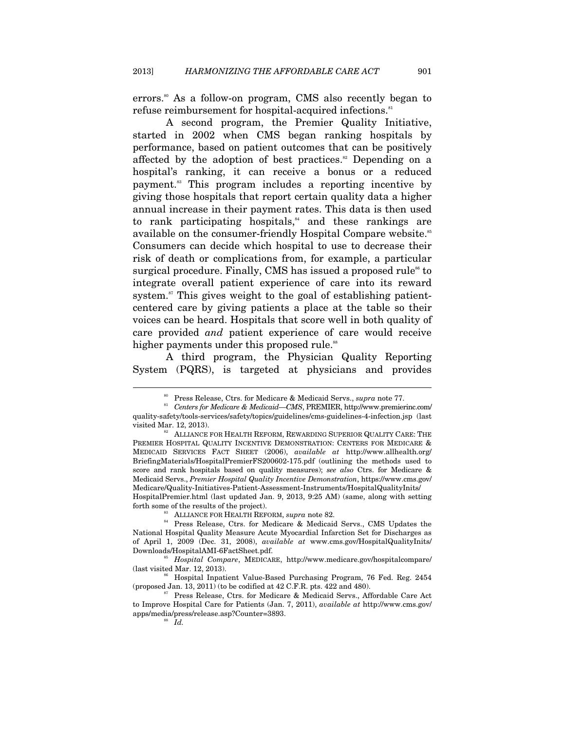errors.<sup>80</sup> As a follow-on program, CMS also recently began to refuse reimbursement for hospital-acquired infections.<sup>81</sup>

A second program, the Premier Quality Initiative, started in 2002 when CMS began ranking hospitals by performance, based on patient outcomes that can be positively affected by the adoption of best practices.<sup>82</sup> Depending on a hospital's ranking, it can receive a bonus or a reduced payment.83 This program includes a reporting incentive by giving those hospitals that report certain quality data a higher annual increase in their payment rates. This data is then used to rank participating hospitals, $\alpha$ <sup>4</sup> and these rankings are available on the consumer-friendly Hospital Compare website.<sup>85</sup> Consumers can decide which hospital to use to decrease their risk of death or complications from, for example, a particular surgical procedure. Finally, CMS has issued a proposed rule<sup>86</sup> to integrate overall patient experience of care into its reward system.<sup>87</sup> This gives weight to the goal of establishing patientcentered care by giving patients a place at the table so their voices can be heard. Hospitals that score well in both quality of care provided *and* patient experience of care would receive higher payments under this proposed rule.<sup>88</sup>

A third program, the Physician Quality Reporting System (PQRS), is targeted at physicians and provides

forth some of the results of the project). 83 ALLIANCE FOR HEALTH REFORM, *supra* note 82.

<sup>&</sup>lt;sup>80</sup> Press Release, Ctrs. for Medicare & Medicaid Servs., *supra* note 77.<br><sup>81</sup> Centers for Medicare & Medicaid—CMS, PREMIER, http://www.premierinc.com/ quality-safety/tools-services/safety/topics/guidelines/cms-guidelines-4-infection.jsp (last

ALLIANCE FOR HEALTH REFORM, REWARDING SUPERIOR QUALITY CARE: THE PREMIER HOSPITAL QUALITY INCENTIVE DEMONSTRATION: CENTERS FOR MEDICARE & MEDICAID SERVICES FACT SHEET (2006), *available at* http://www.allhealth.org/ BriefingMaterials/HospitalPremierFS200602-175.pdf (outlining the methods used to score and rank hospitals based on quality measures); *see also* Ctrs. for Medicare & Medicaid Servs., *Premier Hospital Quality Incentive Demonstration*, https://www.cms.gov/ Medicare/Quality-Initiatives-Patient-Assessment-Instruments/HospitalQualityInits/ HospitalPremier.html (last updated Jan. 9, 2013, 9:25 AM) (same, along with setting

<sup>&</sup>lt;sup>84</sup> Press Release, Ctrs. for Medicare & Medicaid Servs., CMS Updates the National Hospital Quality Measure Acute Myocardial Infarction Set for Discharges as of April 1, 2009 (Dec. 31, 2008), *available at* www.cms.gov/HospitalQualityInits/

Downloads/HospitalAMI-6FactSheet.pdf. 85 *Hospital Compare*, MEDICARE, http://www.medicare.gov/hospitalcompare/

<sup>&</sup>lt;sup>86</sup> Hospital Inpatient Value-Based Purchasing Program, 76 Fed. Reg. 2454 (proposed Jan. 13, 2011) (to be codified at  $42$  C.F.R. pts. 422 and 480).<br><sup>87</sup> Press Release, Ctrs. for Medicare & Medicaid Servs., Affordable Care Act

to Improve Hospital Care for Patients (Jan. 7, 2011), *available at* http://www.cms.gov/ apps/media/press/release.asp?Counter=3893.  $Id.$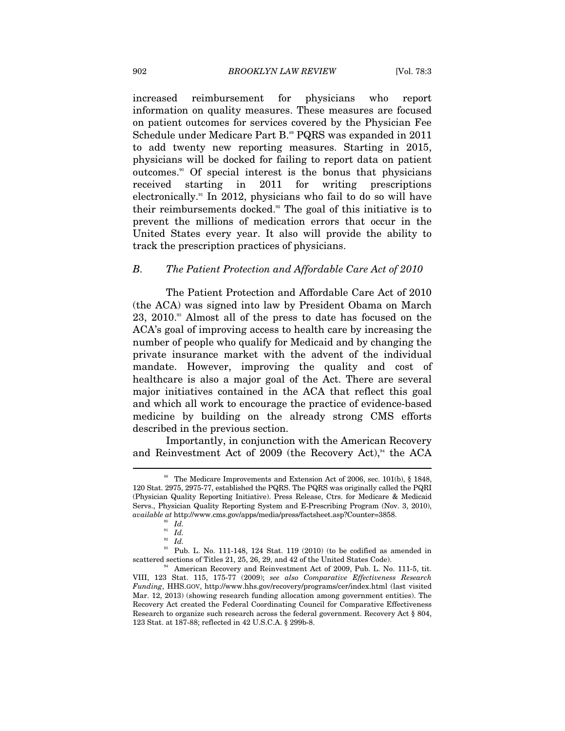increased reimbursement for physicians who report information on quality measures. These measures are focused on patient outcomes for services covered by the Physician Fee Schedule under Medicare Part B.<sup>89</sup> PQRS was expanded in 2011 to add twenty new reporting measures. Starting in 2015, physicians will be docked for failing to report data on patient outcomes.90 Of special interest is the bonus that physicians received starting in 2011 for writing prescriptions electronically.<sup>91</sup> In 2012, physicians who fail to do so will have their reimbursements docked.<sup>92</sup> The goal of this initiative is to prevent the millions of medication errors that occur in the United States every year. It also will provide the ability to track the prescription practices of physicians.

#### *B. The Patient Protection and Affordable Care Act of 2010*

The Patient Protection and Affordable Care Act of 2010 (the ACA) was signed into law by President Obama on March 23, 2010.<sup>33</sup> Almost all of the press to date has focused on the ACA's goal of improving access to health care by increasing the number of people who qualify for Medicaid and by changing the private insurance market with the advent of the individual mandate. However, improving the quality and cost of healthcare is also a major goal of the Act. There are several major initiatives contained in the ACA that reflect this goal and which all work to encourage the practice of evidence-based medicine by building on the already strong CMS efforts described in the previous section.

Importantly, in conjunction with the American Recovery and Reinvestment Act of 2009 (the Recovery Act), $94$  the ACA

 $89$  The Medicare Improvements and Extension Act of 2006, sec. 101(b), § 1848, 120 Stat. 2975, 2975-77, established the PQRS. The PQRS was originally called the PQRI (Physician Quality Reporting Initiative). Press Release, Ctrs. for Medicare & Medicaid Servs., Physician Quality Reporting System and E-Prescribing Program (Nov. 3, 2010), *available at http://www.cms.gov/apps/media/press/factsheet.asp?Counter=3858.* 

 $\begin{array}{c} \begin{array}{c} 90 \\ \hline 91 \end{array} \begin{array}{c} \hline \end{array} \begin{array}{c} \hline \end{array} \begin{array}{c} \hline \end{array} \begin{array}{c} \hline \end{array} \begin{array}{c} \hline \end{array} \begin{array}{c} \hline \end{array} \begin{array}{c} \hline \end{array} \begin{array}{c} \hline \end{array} \begin{array}{c} \hline \end{array} \begin{array}{c} \hline \end{array} \begin{array}{c} \hline \end{array} \begin{array}{c} \hline \end{array} \begin{array}{c} \hline \$ 

<sup>&</sup>lt;sup>93</sup> Pub. L. No. 111-148, 124 Stat. 119 (2010) (to be codified as amended in scattered sections of Titles 21, 25, 26, 29, and 42 of the United States Code).<br><sup>94</sup> American Recovery and Reinvestment Act of 2009, Pub. L. No. 111-5, tit.

VIII, 123 Stat. 115, 175-77 (2009); *see also Comparative Effectiveness Research Funding*, HHS.GOV, http://www.hhs.gov/recovery/programs/cer/index.html (last visited Mar. 12, 2013) (showing research funding allocation among government entities). The Recovery Act created the Federal Coordinating Council for Comparative Effectiveness Research to organize such research across the federal government. Recovery Act § 804, 123 Stat. at 187-88; reflected in 42 U.S.C.A. § 299b-8.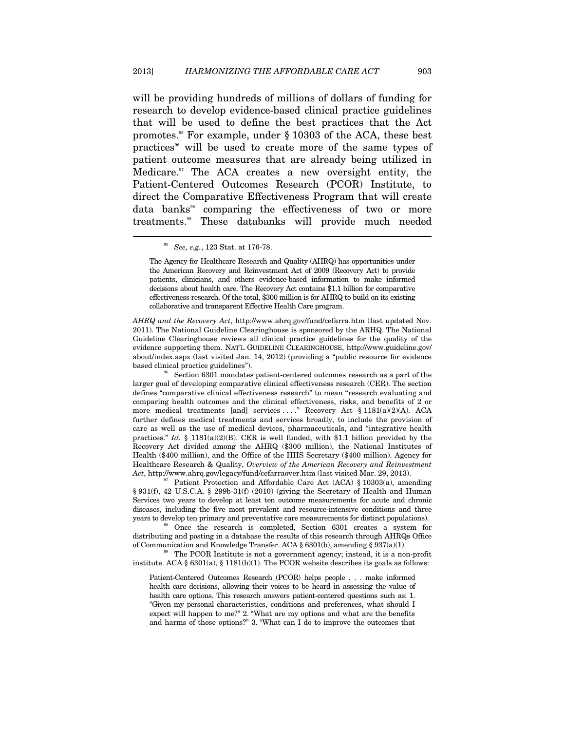will be providing hundreds of millions of dollars of funding for research to develop evidence-based clinical practice guidelines that will be used to define the best practices that the Act promotes.<sup>35</sup> For example, under  $\S$  10303 of the ACA, these best practices<sup>96</sup> will be used to create more of the same types of patient outcome measures that are already being utilized in Medicare. $\mathbb{R}^n$  The ACA creates a new oversight entity, the Patient-Centered Outcomes Research (PCOR) Institute, to direct the Comparative Effectiveness Program that will create data banks<sup>38</sup> comparing the effectiveness of two or more treatments.99 These databanks will provide much needed

 $\overline{a}$ 

*AHRQ and the Recovery Act*, http://www.ahrq.gov/fund/cefarra.htm (last updated Nov. 2011). The National Guideline Clearinghouse is sponsored by the ARHQ. The National Guideline Clearinghouse reviews all clinical practice guidelines for the quality of the evidence supporting them. NAT'L GUIDELINE CLEARINGHOUSE, http://www.guideline.gov/ about/index.aspx (last visited Jan. 14, 2012) (providing a "public resource for evidence based clinical practice guidelines"). 96 Section 6301 mandates patient-centered outcomes research as a part of the

larger goal of developing comparative clinical effectiveness research (CER). The section defines "comparative clinical effectiveness research" to mean "research evaluating and comparing health outcomes and the clinical effectiveness, risks, and benefits of 2 or more medical treatments [and] services . . . ." Recovery Act § 1181(a)(2)(A). ACA further defines medical treatments and services broadly, to include the provision of care as well as the use of medical devices, pharmaceuticals, and "integrative health practices." *Id.* § 1181(a)(2)(B). CER is well funded, with \$1.1 billion provided by the Recovery Act divided among the AHRQ (\$300 million), the National Institutes of Health (\$400 million), and the Office of the HHS Secretary (\$400 million). Agency for Healthcare Research & Quality, *Overview of the American Recovery and Reinvestment Act*, http://www.ahrq.gov/legacy/fund/cefarraover.htm (last visited Mar. 29, 2013).<br><sup>97</sup> Patient Protection and Affordable Care Act (ACA) § 10303(a), amending

§ 931(f), 42 U.S.C.A. § 299b-31(f) (2010) (giving the Secretary of Health and Human Services two years to develop at least ten outcome measurements for acute and chronic diseases, including the five most prevalent and resource-intensive conditions and three years to develop ten primary and preventative care measurements for distinct populations).<br><sup>98</sup> Once the research is completed, Section 6301 creates a system for

distributing and posting in a database the results of this research through AHRQs Office of Communication and Knowledge Transfer. ACA § 6301(b), amending § 937(a)(1). The PCOR Institute is not a government agency; instead, it is a non-profit

institute. ACA  $\S 6301(a), \S 1181(b)(1)$ . The PCOR website describes its goals as follows:

Patient-Centered Outcomes Research (PCOR) helps people . . . make informed health care decisions, allowing their voices to be heard in assessing the value of health care options. This research answers patient-centered questions such as: 1. "Given my personal characteristics, conditions and preferences, what should I expect will happen to me?" 2. "What are my options and what are the benefits and harms of those options?" 3. "What can I do to improve the outcomes that

<sup>95</sup> *See, e.g.*, 123 Stat. at 176-78.

The Agency for Healthcare Research and Quality (AHRQ) has opportunities under the American Recovery and Reinvestment Act of 2009 (Recovery Act) to provide patients, clinicians, and others evidence-based information to make informed decisions about health care. The Recovery Act contains \$1.1 billion for comparative effectiveness research. Of the total, \$300 million is for AHRQ to build on its existing collaborative and transparent Effective Health Care program.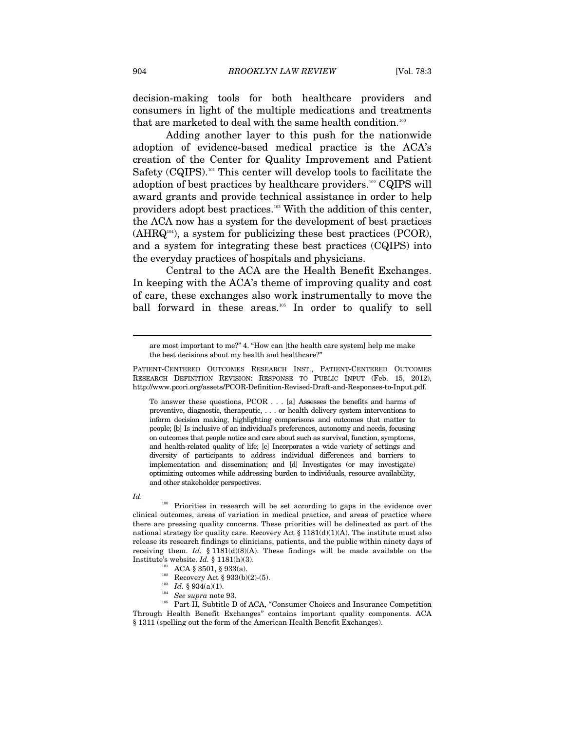decision-making tools for both healthcare providers and consumers in light of the multiple medications and treatments that are marketed to deal with the same health condition.<sup>100</sup>

Adding another layer to this push for the nationwide adoption of evidence-based medical practice is the ACA's creation of the Center for Quality Improvement and Patient Safety (CQIPS).<sup>101</sup> This center will develop tools to facilitate the adoption of best practices by healthcare providers.102 CQIPS will award grants and provide technical assistance in order to help providers adopt best practices.103 With the addition of this center, the ACA now has a system for the development of best practices  $(AHRQ<sup>104</sup>)$ , a system for publicizing these best practices (PCOR), and a system for integrating these best practices (CQIPS) into the everyday practices of hospitals and physicians.

Central to the ACA are the Health Benefit Exchanges. In keeping with the ACA's theme of improving quality and cost of care, these exchanges also work instrumentally to move the ball forward in these areas.<sup>105</sup> In order to qualify to sell

To answer these questions, PCOR . . . [a] Assesses the benefits and harms of preventive, diagnostic, therapeutic, . . . or health delivery system interventions to inform decision making, highlighting comparisons and outcomes that matter to people; [b] Is inclusive of an individual's preferences, autonomy and needs, focusing on outcomes that people notice and care about such as survival, function, symptoms, and health-related quality of life; [c] Incorporates a wide variety of settings and diversity of participants to address individual differences and barriers to implementation and dissemination; and [d] Investigates (or may investigate) optimizing outcomes while addressing burden to individuals, resource availability, and other stakeholder perspectives.

#### *Id.*

 $\overline{a}$ 

<sup>100</sup> Priorities in research will be set according to gaps in the evidence over clinical outcomes, areas of variation in medical practice, and areas of practice where there are pressing quality concerns. These priorities will be delineated as part of the national strategy for quality care. Recovery Act  $\S 1181(d)(1)(A)$ . The institute must also release its research findings to clinicians, patients, and the public within ninety days of receiving them.  $Id. \S 1181(d)(8)(A)$ . These findings will be made available on the Institute's website. *Id.* § 1181(h)(3).<br>
<sup>101</sup> ACA § 3501, § 933(a).<br>
<sup>102</sup> Recovery Act § 933(b)(2)-(5).<br>
<sup>103</sup> *Id.* § 934(a)(1).<br>
<sup>104</sup> *See supra* note 93.<br>
Part II, Subtitle D of ACA, "Consumer Choices and Insurance

- 
- 
- 
- 

Through Health Benefit Exchanges" contains important quality components. ACA § 1311 (spelling out the form of the American Health Benefit Exchanges).

are most important to me?" 4. "How can [the health care system] help me make the best decisions about my health and healthcare?"

PATIENT-CENTERED OUTCOMES RESEARCH INST., PATIENT-CENTERED OUTCOMES RESEARCH DEFINITION REVISION: RESPONSE TO PUBLIC INPUT (Feb. 15, 2012), http://www.pcori.org/assets/PCOR-Definition-Revised-Draft-and-Responses-to-Input.pdf.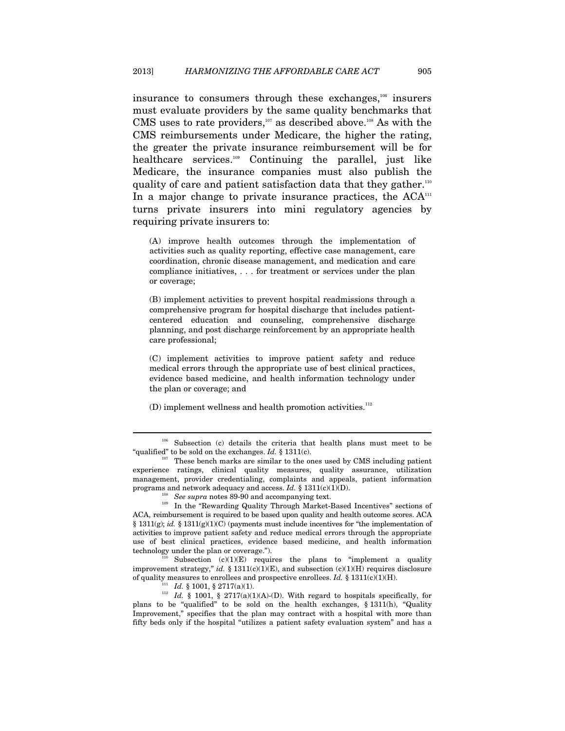insurance to consumers through these exchanges,106 insurers must evaluate providers by the same quality benchmarks that CMS uses to rate providers, $107$  as described above.<sup>108</sup> As with the CMS reimbursements under Medicare, the higher the rating, the greater the private insurance reimbursement will be for healthcare services.109 Continuing the parallel, just like Medicare, the insurance companies must also publish the quality of care and patient satisfaction data that they gather.<sup>110</sup> In a major change to private insurance practices, the  $ACA^{\text{m}}$ turns private insurers into mini regulatory agencies by requiring private insurers to:

(A) improve health outcomes through the implementation of activities such as quality reporting, effective case management, care coordination, chronic disease management, and medication and care compliance initiatives, . . . for treatment or services under the plan or coverage;

(B) implement activities to prevent hospital readmissions through a comprehensive program for hospital discharge that includes patientcentered education and counseling, comprehensive discharge planning, and post discharge reinforcement by an appropriate health care professional;

(C) implement activities to improve patient safety and reduce medical errors through the appropriate use of best clinical practices, evidence based medicine, and health information technology under the plan or coverage; and

 $(D)$  implement wellness and health promotion activities.<sup>112</sup>

ACA, reimbursement is required to be based upon quality and health outcome scores. ACA § 1311(g); *id.* § 1311(g)(1)(C) (payments must include incentives for "the implementation of activities to improve patient safety and reduce medical errors through the appropriate use of best clinical practices, evidence based medicine, and health information technology under the plan or coverage.").

Subsection  $(c)(1)(E)$  requires the plans to "implement a quality improvement strategy," *id.* § 1311(c)(1)(E), and subsection (c)(1)(H) requires disclosure of quality measures to enrollees and prospective enrollees. *Id.* § 1311(c)(1)(H).

 $\overline{a}$ 

<sup>111</sup> Id. § 1001, § 2717(a)(1).<br><sup>112</sup> Id. § 1001, § 2717(a)(1)(A)-(D). With regard to hospitals specifically, for plans to be "qualified" to be sold on the health exchanges, § 1311(h), "Quality Improvement," specifies that the plan may contract with a hospital with more than fifty beds only if the hospital "utilizes a patient safety evaluation system" and has a

<sup>106</sup> Subsection (c) details the criteria that health plans must meet to be "qualified" to be sold on the exchanges. *Id.* § 1311(c).<br><sup>107</sup> These bench marks are similar to the ones used by CMS including patient

experience ratings, clinical quality measures, quality assurance, utilization management, provider credentialing, complaints and appeals, patient information programs and network adequacy and access. *Id.* § 1311(c)(1)(D).<br><sup>108</sup> See supra notes 89-90 and accompanying text.<br><sup>109</sup> In the "Rewarding Quality Through Market-Based Incentives" sections of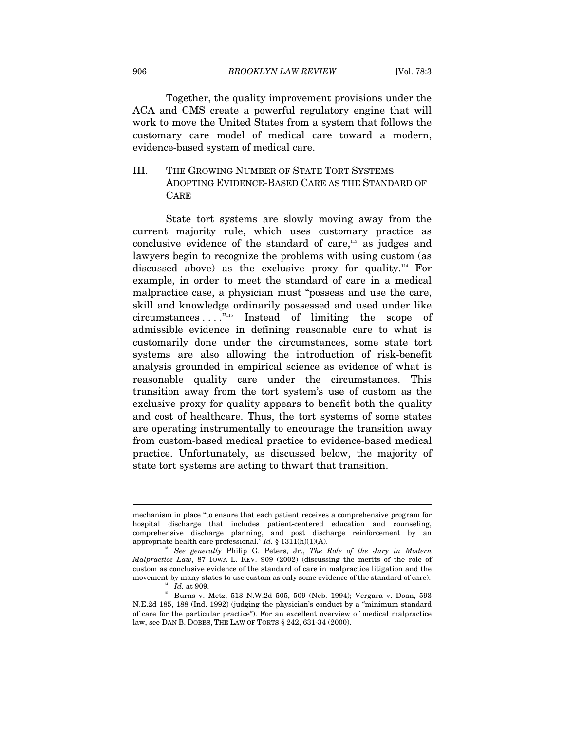Together, the quality improvement provisions under the ACA and CMS create a powerful regulatory engine that will work to move the United States from a system that follows the customary care model of medical care toward a modern, evidence-based system of medical care.

# III. THE GROWING NUMBER OF STATE TORT SYSTEMS ADOPTING EVIDENCE-BASED CARE AS THE STANDARD OF CARE

State tort systems are slowly moving away from the current majority rule, which uses customary practice as conclusive evidence of the standard of care,<sup>113</sup> as judges and lawyers begin to recognize the problems with using custom (as discussed above) as the exclusive proxy for quality.114 For example, in order to meet the standard of care in a medical malpractice case, a physician must "possess and use the care, skill and knowledge ordinarily possessed and used under like circumstances . . . ."115 Instead of limiting the scope of admissible evidence in defining reasonable care to what is customarily done under the circumstances, some state tort systems are also allowing the introduction of risk-benefit analysis grounded in empirical science as evidence of what is reasonable quality care under the circumstances. This transition away from the tort system's use of custom as the exclusive proxy for quality appears to benefit both the quality and cost of healthcare. Thus, the tort systems of some states are operating instrumentally to encourage the transition away from custom-based medical practice to evidence-based medical practice. Unfortunately, as discussed below, the majority of state tort systems are acting to thwart that transition.

mechanism in place "to ensure that each patient receives a comprehensive program for hospital discharge that includes patient-centered education and counseling, comprehensive discharge planning, and post discharge reinforcement by an appropriate health care professional."  $Id.$  § 1311(h)(1)(A).

<sup>&</sup>lt;sup>113</sup> See generally Philip G. Peters, Jr., *The Role of the Jury in Modern Malpractice Law*, 87 IOWA L. REV. 909 (2002) (discussing the merits of the role of custom as conclusive evidence of the standard of care in malpractice litigation and the movement by many states to use custom as only some evidence of the standard of care).  $^{114}$   $\,$   $Id.$  at 909.

<sup>115</sup> Burns v. Metz, 513 N.W.2d 505, 509 (Neb. 1994); Vergara v. Doan, 593 N.E.2d 185, 188 (Ind. 1992) (judging the physician's conduct by a "minimum standard of care for the particular practice"). For an excellent overview of medical malpractice law, see DAN B. DOBBS, THE LAW OF TORTS § 242, 631-34 (2000).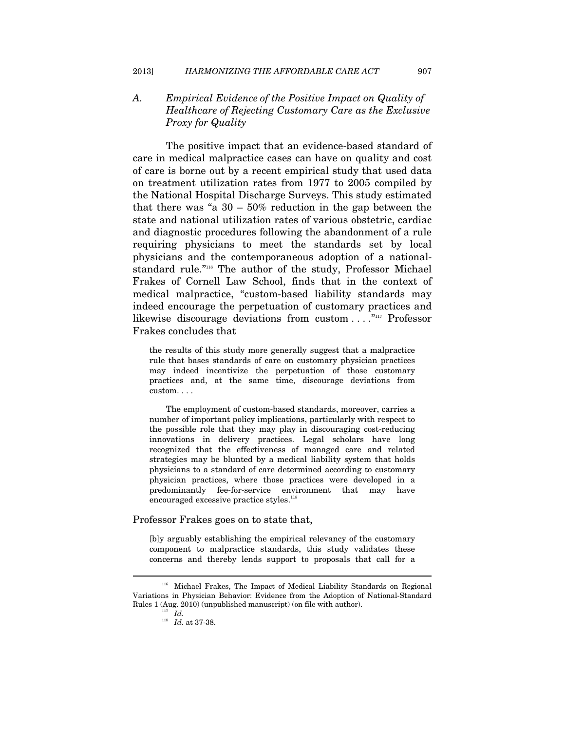# *A. Empirical Evidence of the Positive Impact on Quality of Healthcare of Rejecting Customary Care as the Exclusive Proxy for Quality*

The positive impact that an evidence-based standard of care in medical malpractice cases can have on quality and cost of care is borne out by a recent empirical study that used data on treatment utilization rates from 1977 to 2005 compiled by the National Hospital Discharge Surveys. This study estimated that there was "a  $30 - 50\%$  reduction in the gap between the state and national utilization rates of various obstetric, cardiac and diagnostic procedures following the abandonment of a rule requiring physicians to meet the standards set by local physicians and the contemporaneous adoption of a nationalstandard rule."<sup>116</sup> The author of the study, Professor Michael Frakes of Cornell Law School, finds that in the context of medical malpractice, "custom-based liability standards may indeed encourage the perpetuation of customary practices and likewise discourage deviations from custom ...."<sup>1117</sup> Professor Frakes concludes that

the results of this study more generally suggest that a malpractice rule that bases standards of care on customary physician practices may indeed incentivize the perpetuation of those customary practices and, at the same time, discourage deviations from custom. . . .

 The employment of custom-based standards, moreover, carries a number of important policy implications, particularly with respect to the possible role that they may play in discouraging cost-reducing innovations in delivery practices. Legal scholars have long recognized that the effectiveness of managed care and related strategies may be blunted by a medical liability system that holds physicians to a standard of care determined according to customary physician practices, where those practices were developed in a predominantly fee-for-service environment that may have encouraged excessive practice styles.<sup>118</sup>

#### Professor Frakes goes on to state that,

[b]y arguably establishing the empirical relevancy of the customary component to malpractice standards, this study validates these concerns and thereby lends support to proposals that call for a

<sup>116</sup> Michael Frakes, The Impact of Medical Liability Standards on Regional Variations in Physician Behavior: Evidence from the Adoption of National-Standard Rules 1 (Aug. 2010) (unpublished manuscript) (on file with author).  $10^{\rm 117}$   $Id.$ 

<sup>118</sup> *Id.* at 37-38.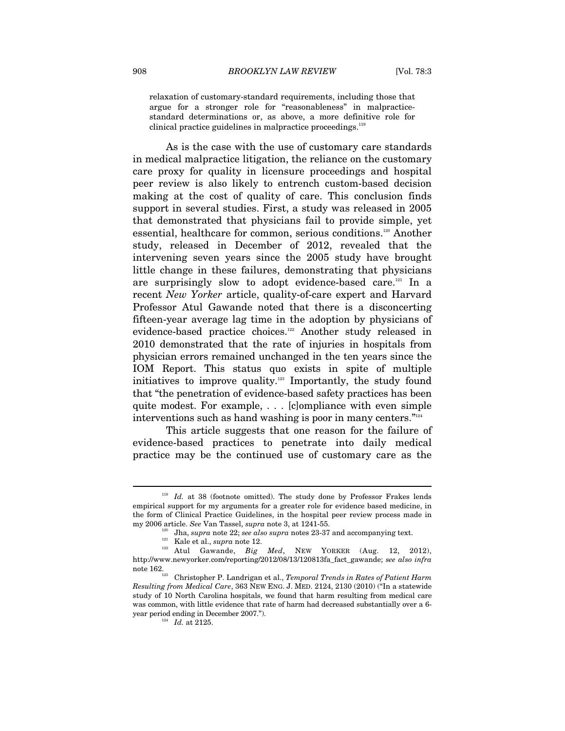relaxation of customary-standard requirements, including those that argue for a stronger role for "reasonableness" in malpracticestandard determinations or, as above, a more definitive role for clinical practice guidelines in malpractice proceedings.<sup>119</sup>

As is the case with the use of customary care standards in medical malpractice litigation, the reliance on the customary care proxy for quality in licensure proceedings and hospital peer review is also likely to entrench custom-based decision making at the cost of quality of care. This conclusion finds support in several studies. First, a study was released in 2005 that demonstrated that physicians fail to provide simple, yet essential, healthcare for common, serious conditions.120 Another study, released in December of 2012, revealed that the intervening seven years since the 2005 study have brought little change in these failures, demonstrating that physicians are surprisingly slow to adopt evidence-based care.121 In a recent *New Yorker* article, quality-of-care expert and Harvard Professor Atul Gawande noted that there is a disconcerting fifteen-year average lag time in the adoption by physicians of evidence-based practice choices.<sup>122</sup> Another study released in 2010 demonstrated that the rate of injuries in hospitals from physician errors remained unchanged in the ten years since the IOM Report. This status quo exists in spite of multiple initiatives to improve quality.<sup>123</sup> Importantly, the study found that "the penetration of evidence-based safety practices has been quite modest. For example, . . . [c]ompliance with even simple interventions such as hand washing is poor in many centers."<sup>124</sup>

This article suggests that one reason for the failure of evidence-based practices to penetrate into daily medical practice may be the continued use of customary care as the

<sup>&</sup>lt;sup>119</sup> Id. at 38 (footnote omitted). The study done by Professor Frakes lends empirical support for my arguments for a greater role for evidence based medicine, in the form of Clinical Practice Guidelines, in the hospital peer review process made in

my 2006 article. See Van Tassel, supra note 3, at 1241-55.<br>
<sup>120</sup> Jha, *supra* note 22; *see also supra* notes 23-37 and accompanying text.<br>
<sup>121</sup> Kale et al., *supra* note 12.<br>
<sup>122</sup> Atul Gawande, *Big Med*, NEW YORKER ( http://www.newyorker.com/reporting/2012/08/13/120813fa\_fact\_gawande; *see also infra* note 162. 123 Christopher P. Landrigan et al., *Temporal Trends in Rates of Patient Harm* 

*Resulting from Medical Care*, 363 NEW ENG. J. MED. 2124, 2130 (2010) ("In a statewide study of 10 North Carolina hospitals, we found that harm resulting from medical care was common, with little evidence that rate of harm had decreased substantially over a 6 year period ending in December 2007.").  $Id.$  at 2125.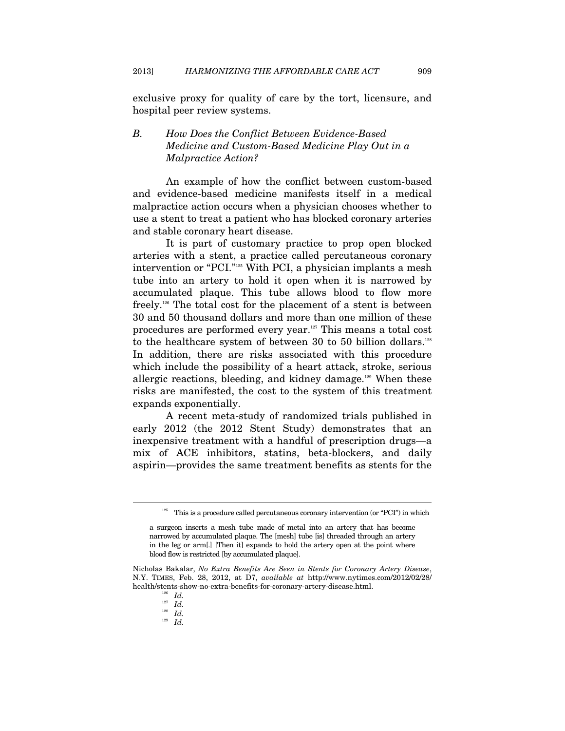exclusive proxy for quality of care by the tort, licensure, and hospital peer review systems.

# *B. How Does the Conflict Between Evidence-Based Medicine and Custom-Based Medicine Play Out in a Malpractice Action?*

An example of how the conflict between custom-based and evidence-based medicine manifests itself in a medical malpractice action occurs when a physician chooses whether to use a stent to treat a patient who has blocked coronary arteries and stable coronary heart disease.

It is part of customary practice to prop open blocked arteries with a stent, a practice called percutaneous coronary intervention or "PCI."125 With PCI, a physician implants a mesh tube into an artery to hold it open when it is narrowed by accumulated plaque. This tube allows blood to flow more freely.126 The total cost for the placement of a stent is between 30 and 50 thousand dollars and more than one million of these procedures are performed every year.127 This means a total cost to the healthcare system of between 30 to 50 billion dollars.<sup>128</sup> In addition, there are risks associated with this procedure which include the possibility of a heart attack, stroke, serious allergic reactions, bleeding, and kidney damage.<sup>129</sup> When these risks are manifested, the cost to the system of this treatment expands exponentially.

A recent meta-study of randomized trials published in early 2012 (the 2012 Stent Study) demonstrates that an inexpensive treatment with a handful of prescription drugs—a mix of ACE inhibitors, statins, beta-blockers, and daily aspirin—provides the same treatment benefits as stents for the

 $\overline{a}$ 

<sup>129</sup> *Id.*

 $125$  This is a procedure called percutaneous coronary intervention (or "PCI") in which

a surgeon inserts a mesh tube made of metal into an artery that has become narrowed by accumulated plaque. The [mesh] tube [is] threaded through an artery in the leg or arm[.] [Then it] expands to hold the artery open at the point where blood flow is restricted [by accumulated plaque].

Nicholas Bakalar, *No Extra Benefits Are Seen in Stents for Coronary Artery Disease*, N.Y. TIMES, Feb. 28, 2012, at D7, *available at* http://www.nytimes.com/2012/02/28/ health/stents-show-no-extra-benefits-for-coronary-artery-disease.html.  $I_{\rm 127}$   $I_{\rm d.}$ 

<sup>127</sup> *Id.* 128 *Id.*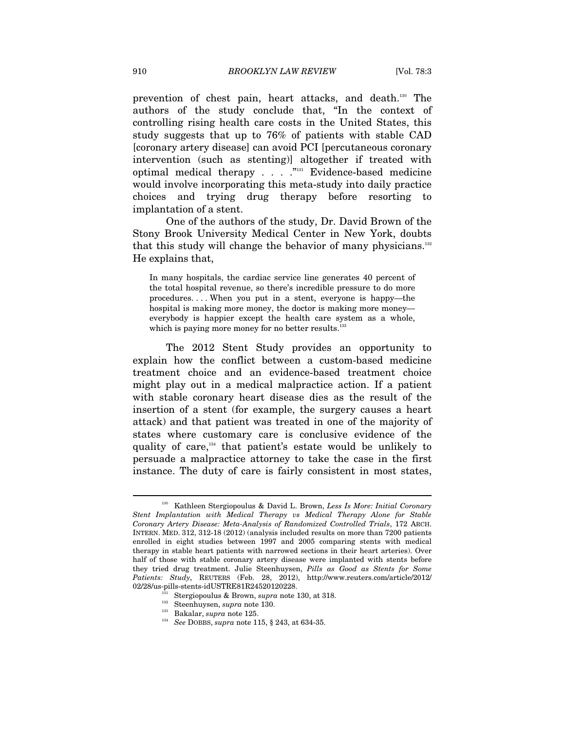prevention of chest pain, heart attacks, and death.130 The authors of the study conclude that, "In the context of controlling rising health care costs in the United States, this study suggests that up to 76% of patients with stable CAD [coronary artery disease] can avoid PCI [percutaneous coronary intervention (such as stenting)] altogether if treated with optimal medical therapy . . . ."131 Evidence-based medicine would involve incorporating this meta-study into daily practice choices and trying drug therapy before resorting to implantation of a stent.

One of the authors of the study, Dr. David Brown of the Stony Brook University Medical Center in New York, doubts that this study will change the behavior of many physicians.132 He explains that,

In many hospitals, the cardiac service line generates 40 percent of the total hospital revenue, so there's incredible pressure to do more procedures. . . . When you put in a stent, everyone is happy—the hospital is making more money, the doctor is making more money everybody is happier except the health care system as a whole, which is paying more money for no better results.<sup>1</sup>

The 2012 Stent Study provides an opportunity to explain how the conflict between a custom-based medicine treatment choice and an evidence-based treatment choice might play out in a medical malpractice action. If a patient with stable coronary heart disease dies as the result of the insertion of a stent (for example, the surgery causes a heart attack) and that patient was treated in one of the majority of states where customary care is conclusive evidence of the quality of care,134 that patient's estate would be unlikely to persuade a malpractice attorney to take the case in the first instance. The duty of care is fairly consistent in most states,

<sup>130</sup> Kathleen Stergiopoulus & David L. Brown, *Less Is More: Initial Coronary Stent Implantation with Medical Therapy vs Medical Therapy Alone for Stable Coronary Artery Disease: Meta-Analysis of Randomized Controlled Trials*, 172 ARCH. INTERN. MED. 312, 312-18 (2012) (analysis included results on more than 7200 patients enrolled in eight studies between 1997 and 2005 comparing stents with medical therapy in stable heart patients with narrowed sections in their heart arteries). Over half of those with stable coronary artery disease were implanted with stents before they tried drug treatment. Julie Steenhuysen, *Pills as Good as Stents for Some Patients: Study*, REUTERS (Feb. 28, 2012), http://www.reuters.com/article/2012/ 02/28/us-pills-stents-idUSTRE81R24520120228.<br>
<sup>131</sup> Stergiopoulus & Brown, *supra* note 130, at 318.<br>
<sup>132</sup> Steenhuysen, *supra* note 130.<br>
<sup>133</sup> Bakalar, *supra* note 125.<br>
<sup>134</sup> See DOBBS, *supra* note 115, § 243, at 63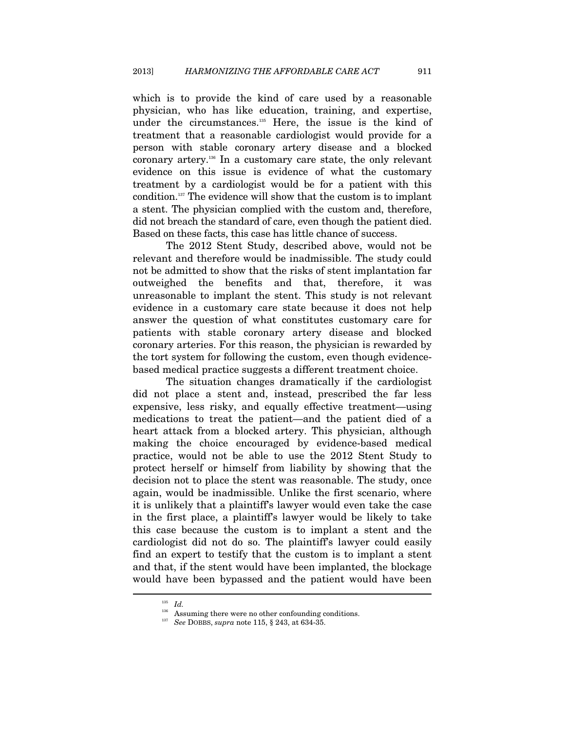which is to provide the kind of care used by a reasonable physician, who has like education, training, and expertise, under the circumstances.<sup>135</sup> Here, the issue is the kind of treatment that a reasonable cardiologist would provide for a person with stable coronary artery disease and a blocked coronary artery.136 In a customary care state, the only relevant evidence on this issue is evidence of what the customary treatment by a cardiologist would be for a patient with this condition.137 The evidence will show that the custom is to implant a stent. The physician complied with the custom and, therefore, did not breach the standard of care, even though the patient died. Based on these facts, this case has little chance of success.

The 2012 Stent Study, described above, would not be relevant and therefore would be inadmissible. The study could not be admitted to show that the risks of stent implantation far outweighed the benefits and that, therefore, it was unreasonable to implant the stent. This study is not relevant evidence in a customary care state because it does not help answer the question of what constitutes customary care for patients with stable coronary artery disease and blocked coronary arteries. For this reason, the physician is rewarded by the tort system for following the custom, even though evidencebased medical practice suggests a different treatment choice.

The situation changes dramatically if the cardiologist did not place a stent and, instead, prescribed the far less expensive, less risky, and equally effective treatment—using medications to treat the patient—and the patient died of a heart attack from a blocked artery. This physician, although making the choice encouraged by evidence-based medical practice, would not be able to use the 2012 Stent Study to protect herself or himself from liability by showing that the decision not to place the stent was reasonable. The study, once again, would be inadmissible. Unlike the first scenario, where it is unlikely that a plaintiff's lawyer would even take the case in the first place, a plaintiff's lawyer would be likely to take this case because the custom is to implant a stent and the cardiologist did not do so. The plaintiff's lawyer could easily find an expert to testify that the custom is to implant a stent and that, if the stent would have been implanted, the blockage would have been bypassed and the patient would have been  $\overline{a}$ 

<sup>135</sup> *Id.* 136 Assuming there were no other confounding conditions. 137 *See* DOBBS, *supra* note 115, § 243, at 634-35.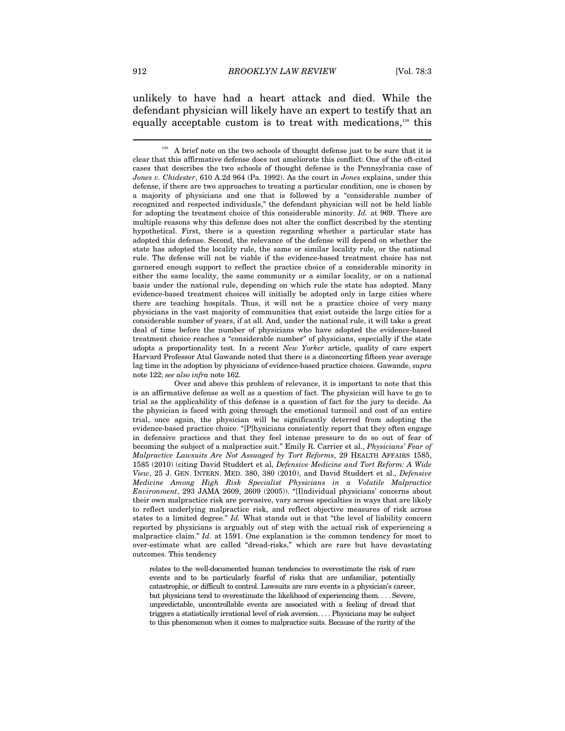unlikely to have had a heart attack and died. While the defendant physician will likely have an expert to testify that an equally acceptable custom is to treat with medications,<sup>138</sup> this

 Over and above this problem of relevance, it is important to note that this is an affirmative defense as well as a question of fact. The physician will have to go to trial as the applicability of this defense is a question of fact for the jury to decide. As the physician is faced with going through the emotional turmoil and cost of an entire trial, once again, the physician will be significantly deterred from adopting the evidence-based practice choice. "[P]hysicians consistently report that they often engage in defensive practices and that they feel intense pressure to do so out of fear of becoming the subject of a malpractice suit." Emily R. Carrier et al., *Physicians' Fear of Malpractice Lawsuits Are Not Assuaged by Tort Reforms*, 29 HEALTH AFFAIRS 1585, 1585 (2010) (citing David Studdert et al, *Defensive Medicine and Tort Reform: A Wide View*, 25 J. GEN. INTERN. MED. 380, 380 (2010), and David Studdert et al., *Defensive Medicine Among High Risk Specialist Physicians in a Volatile Malpractice Environment*, 293 JAMA 2609, 2609 (2005)). "[I]ndividual physicians' concerns about their own malpractice risk are pervasive, vary across specialties in ways that are likely to reflect underlying malpractice risk, and reflect objective measures of risk across states to a limited degree." *Id.* What stands out is that "the level of liability concern reported by physicians is arguably out of step with the actual risk of experiencing a malpractice claim." *Id.* at 1591. One explanation is the common tendency for most to over-estimate what are called "dread-risks," which are rare but have devastating outcomes. This tendency

relates to the well-documented human tendencies to overestimate the risk of rare events and to be particularly fearful of risks that are unfamiliar, potentially catastrophic, or difficult to control. Lawsuits are rare events in a physician's career, but physicians tend to overestimate the likelihood of experiencing them. . . . Severe, unpredictable, uncontrollable events are associated with a feeling of dread that triggers a statistically irrational level of risk aversion. . . . Physicians may be subject to this phenomenon when it comes to malpractice suits. Because of the rarity of the

<sup>&</sup>lt;sup>138</sup> A brief note on the two schools of thought defense just to be sure that it is clear that this affirmative defense does not ameliorate this conflict: One of the oft-cited cases that describes the two schools of thought defense is the Pennsylvania case of *Jones v. Chidester*, 610 A.2d 964 (Pa. 1992). As the court in *Jones* explains, under this defense, if there are two approaches to treating a particular condition, one is chosen by a majority of physicians and one that is followed by a "considerable number of recognized and respected individuals," the defendant physician will not be held liable for adopting the treatment choice of this considerable minority. *Id.* at 969. There are multiple reasons why this defense does not alter the conflict described by the stenting hypothetical. First, there is a question regarding whether a particular state has adopted this defense. Second, the relevance of the defense will depend on whether the state has adopted the locality rule, the same or similar locality rule, or the national rule. The defense will not be viable if the evidence-based treatment choice has not garnered enough support to reflect the practice choice of a considerable minority in either the same locality, the same community or a similar locality, or on a national basis under the national rule, depending on which rule the state has adopted. Many evidence-based treatment choices will initially be adopted only in large cities where there are teaching hospitals. Thus, it will not be a practice choice of very many physicians in the vast majority of communities that exist outside the large cities for a considerable number of years, if at all. And, under the national rule, it will take a great deal of time before the number of physicians who have adopted the evidence-based treatment choice reaches a "considerable number" of physicians, especially if the state adopts a proportionality test. In a recent *New Yorker* article, quality of care expert Harvard Professor Atul Gawande noted that there is a disconcerting fifteen year average lag time in the adoption by physicians of evidence-based practice choices. Gawande, *supra* note 122; *see also infra* note 162.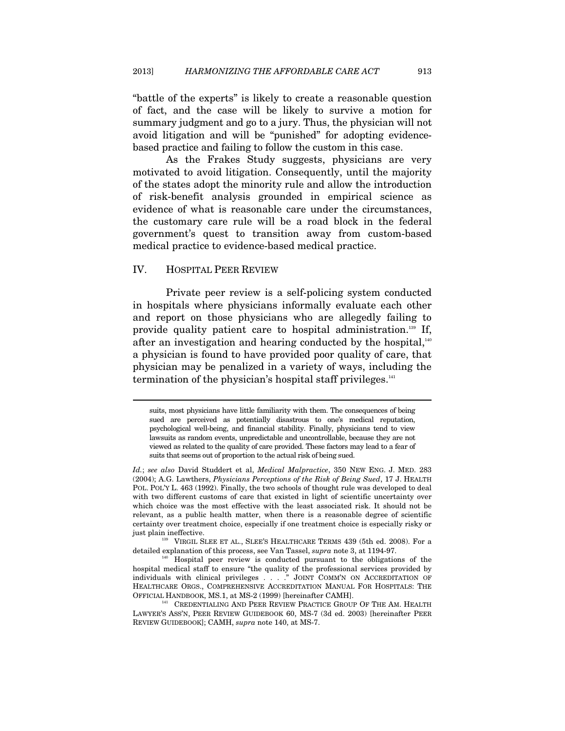"battle of the experts" is likely to create a reasonable question of fact, and the case will be likely to survive a motion for summary judgment and go to a jury. Thus, the physician will not avoid litigation and will be "punished" for adopting evidencebased practice and failing to follow the custom in this case.

As the Frakes Study suggests, physicians are very motivated to avoid litigation. Consequently, until the majority of the states adopt the minority rule and allow the introduction of risk-benefit analysis grounded in empirical science as evidence of what is reasonable care under the circumstances, the customary care rule will be a road block in the federal government's quest to transition away from custom-based medical practice to evidence-based medical practice.

#### IV. HOSPITAL PEER REVIEW

 $\overline{a}$ 

Private peer review is a self-policing system conducted in hospitals where physicians informally evaluate each other and report on those physicians who are allegedly failing to provide quality patient care to hospital administration.139 If, after an investigation and hearing conducted by the hospital, $140$ a physician is found to have provided poor quality of care, that physician may be penalized in a variety of ways, including the termination of the physician's hospital staff privileges. $141$ 

detailed explanation of this process, see Van Tassel, *supra* note 3, at 1194-97.<br><sup>140</sup> Hospital peer review is conducted pursuant to the obligations of the

hospital medical staff to ensure "the quality of the professional services provided by individuals with clinical privileges . . . ." JOINT COMM'N ON ACCREDITATION OF HEALTHCARE ORGS., COMPREHENSIVE ACCREDITATION MANUAL FOR HOSPITALS: THE OFFICIAL HANDBOOK, MS.1, at MS-2 (1999) [hereinafter CAMH].

<sup>141</sup> CREDENTIALING AND PEER REVIEW PRACTICE GROUP OF THE AM. HEALTH LAWYER'S ASS'N, PEER REVIEW GUIDEBOOK 60, MS-7 (3d ed. 2003) [hereinafter PEER REVIEW GUIDEBOOK]; CAMH, *supra* note 140, at MS-7.

suits, most physicians have little familiarity with them. The consequences of being sued are perceived as potentially disastrous to one's medical reputation, psychological well-being, and financial stability. Finally, physicians tend to view lawsuits as random events, unpredictable and uncontrollable, because they are not viewed as related to the quality of care provided. These factors may lead to a fear of suits that seems out of proportion to the actual risk of being sued.

*Id.*; *see also* David Studdert et al, *Medical Malpractice*, 350 NEW ENG. J. MED. 283 (2004); A.G. Lawthers, *Physicians Perceptions of the Risk of Being Sued*, 17 J. HEALTH POL. POL'Y L. 463 (1992). Finally, the two schools of thought rule was developed to deal with two different customs of care that existed in light of scientific uncertainty over which choice was the most effective with the least associated risk. It should not be relevant, as a public health matter, when there is a reasonable degree of scientific certainty over treatment choice, especially if one treatment choice is especially risky or just plain ineffective.<br><sup>139</sup> VIRGIL SLEE ET AL., SLEE'S HEALTHCARE TERMS 439 (5th ed. 2008). For a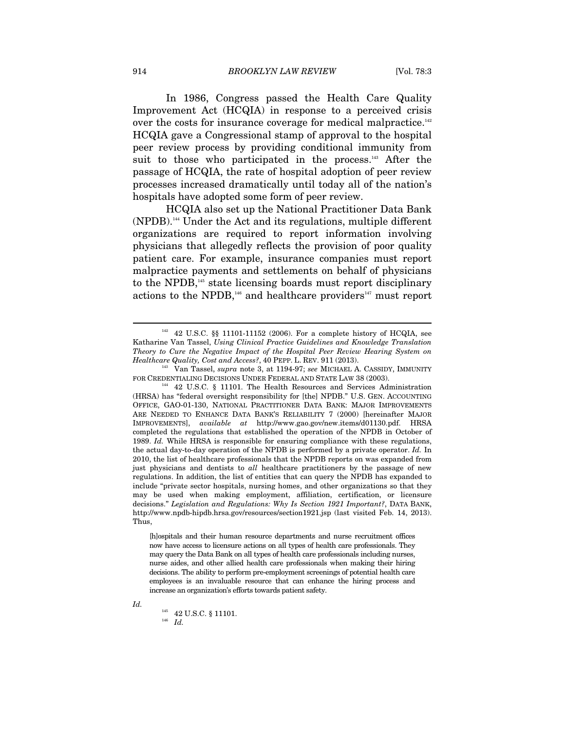In 1986, Congress passed the Health Care Quality Improvement Act (HCQIA) in response to a perceived crisis over the costs for insurance coverage for medical malpractice.<sup>142</sup> HCQIA gave a Congressional stamp of approval to the hospital peer review process by providing conditional immunity from suit to those who participated in the process.<sup>143</sup> After the passage of HCQIA, the rate of hospital adoption of peer review processes increased dramatically until today all of the nation's hospitals have adopted some form of peer review.

HCQIA also set up the National Practitioner Data Bank (NPDB).144 Under the Act and its regulations, multiple different organizations are required to report information involving physicians that allegedly reflects the provision of poor quality patient care. For example, insurance companies must report malpractice payments and settlements on behalf of physicians to the NPDB,<sup>145</sup> state licensing boards must report disciplinary actions to the NPDB,<sup>146</sup> and healthcare providers<sup>147</sup> must report

[h]ospitals and their human resource departments and nurse recruitment offices now have access to licensure actions on all types of health care professionals. They may query the Data Bank on all types of health care professionals including nurses, nurse aides, and other allied health care professionals when making their hiring decisions. The ability to perform pre-employment screenings of potential health care employees is an invaluable resource that can enhance the hiring process and increase an organization's efforts towards patient safety.

*Id.* 

<sup>145</sup> 42 U.S.C. § 11101. 146 *Id.*

 $142$  U.S.C. §§ 11101-11152 (2006). For a complete history of HCQIA, see Katharine Van Tassel, *Using Clinical Practice Guidelines and Knowledge Translation Theory to Cure the Negative Impact of the Hospital Peer Review Hearing System on Healthcare Quality, Cost and Access?*, 40 PEPP. L. REV. 911 (2013).<br><sup>143</sup> Van Tassel, *supra* note 3, at 1194-97; *see* MICHAEL A. CASSIDY, IMMUNITY

FOR CREDENTIALING DECISIONS UNDER FEDERAL AND STATE LAW 38 (2003). <sup>144</sup> 42 U.S.C. § 11101. The Health Resources and Services Administration (HRSA) has "federal oversight responsibility for [the] NPDB." U.S. GEN. ACCOUNTING OFFICE, GAO-01-130, NATIONAL PRACTITIONER DATA BANK: MAJOR IMPROVEMENTS ARE NEEDED TO ENHANCE DATA BANK'S RELIABILITY 7 (2000) [hereinafter MAJOR IMPROVEMENTS], *available at* http://www.gao.gov/new.items/d01130.pdf. HRSA completed the regulations that established the operation of the NPDB in October of 1989. *Id.* While HRSA is responsible for ensuring compliance with these regulations, the actual day-to-day operation of the NPDB is performed by a private operator. *Id.* In 2010, the list of healthcare professionals that the NPDB reports on was expanded from just physicians and dentists to *all* healthcare practitioners by the passage of new regulations. In addition, the list of entities that can query the NPDB has expanded to include "private sector hospitals, nursing homes, and other organizations so that they may be used when making employment, affiliation, certification, or licensure decisions." *Legislation and Regulations: Why Is Section 1921 Important?*, DATA BANK, http://www.npdb-hipdb.hrsa.gov/resources/section1921.jsp (last visited Feb. 14, 2013). Thus,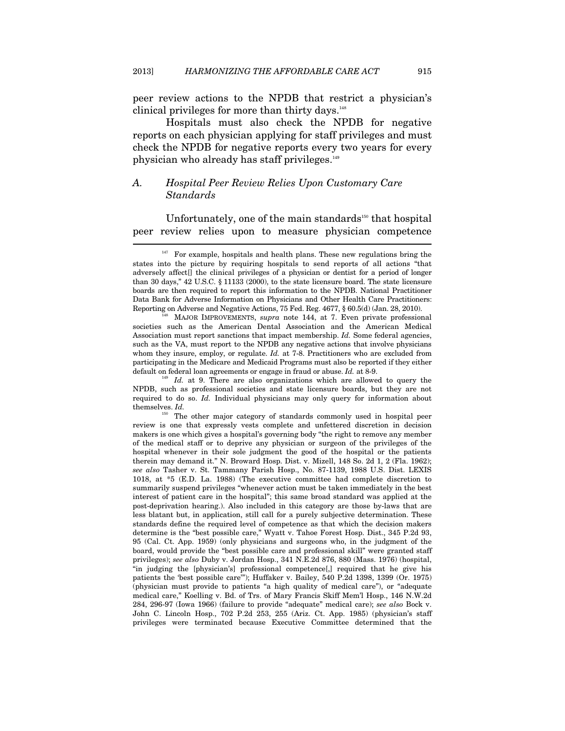peer review actions to the NPDB that restrict a physician's clinical privileges for more than thirty days. $148$ 

Hospitals must also check the NPDB for negative reports on each physician applying for staff privileges and must check the NPDB for negative reports every two years for every physician who already has staff privileges.<sup>149</sup>

# *A. Hospital Peer Review Relies Upon Customary Care Standards*

Unfortunately, one of the main standards<sup>150</sup> that hospital peer review relies upon to measure physician competence  $\overline{\phantom{a}}$ 

NPDB, such as professional societies and state licensure boards, but they are not required to do so. *Id.* Individual physicians may only query for information about themselves. *Id.*

<sup>150</sup> The other major category of standards commonly used in hospital peer review is one that expressly vests complete and unfettered discretion in decision makers is one which gives a hospital's governing body "the right to remove any member of the medical staff or to deprive any physician or surgeon of the privileges of the hospital whenever in their sole judgment the good of the hospital or the patients therein may demand it." N. Broward Hosp. Dist. v. Mizell, 148 So. 2d 1, 2 (Fla. 1962); *see also* Tasher v. St. Tammany Parish Hosp., No. 87-1139, 1988 U.S. Dist. LEXIS 1018, at \*5 (E.D. La. 1988) (The executive committee had complete discretion to summarily suspend privileges "whenever action must be taken immediately in the best interest of patient care in the hospital"; this same broad standard was applied at the post-deprivation hearing.). Also included in this category are those by-laws that are less blatant but, in application, still call for a purely subjective determination. These standards define the required level of competence as that which the decision makers determine is the "best possible care," Wyatt v. Tahoe Forest Hosp. Dist., 345 P.2d 93, 95 (Cal. Ct. App. 1959) (only physicians and surgeons who, in the judgment of the board, would provide the "best possible care and professional skill" were granted staff privileges); *see also* Duby v. Jordan Hosp., 341 N.E.2d 876, 880 (Mass. 1976) (hospital, "in judging the [physician's] professional competence[,] required that he give his patients the 'best possible care'"); Huffaker v. Bailey, 540 P.2d 1398, 1399 (Or. 1975) (physician must provide to patients "a high quality of medical care"), or "adequate medical care," Koelling v. Bd. of Trs. of Mary Francis Skiff Mem'l Hosp., 146 N.W.2d 284, 296-97 (Iowa 1966) (failure to provide "adequate" medical care); *see also* Bock v. John C. Lincoln Hosp., 702 P.2d 253, 255 (Ariz. Ct. App. 1985) (physician's staff privileges were terminated because Executive Committee determined that the

<sup>147</sup> For example, hospitals and health plans. These new regulations bring the states into the picture by requiring hospitals to send reports of all actions "that adversely affect[] the clinical privileges of a physician or dentist for a period of longer than 30 days," 42 U.S.C. § 11133 (2000), to the state licensure board. The state licensure boards are then required to report this information to the NPDB. National Practitioner Data Bank for Adverse Information on Physicians and Other Health Care Practitioners: Reporting on Adverse and Negative Actions, 75 Fed. Reg. 4677, § 60.5(d) (Jan. 28, 2010). 148 MAJOR IMPROVEMENTS, *supra* note 144, at 7. Even private professional

societies such as the American Dental Association and the American Medical Association must report sanctions that impact membership. *Id.* Some federal agencies, such as the VA, must report to the NPDB any negative actions that involve physicians whom they insure, employ, or regulate. *Id.* at 7-8. Practitioners who are excluded from participating in the Medicare and Medicaid Programs must also be reported if they either default on federal loan agreements or engage in fraud or abuse. *Id.* at 8-9. <sup>149</sup> *Id.* at 9. There are also organizations which are allowed to query the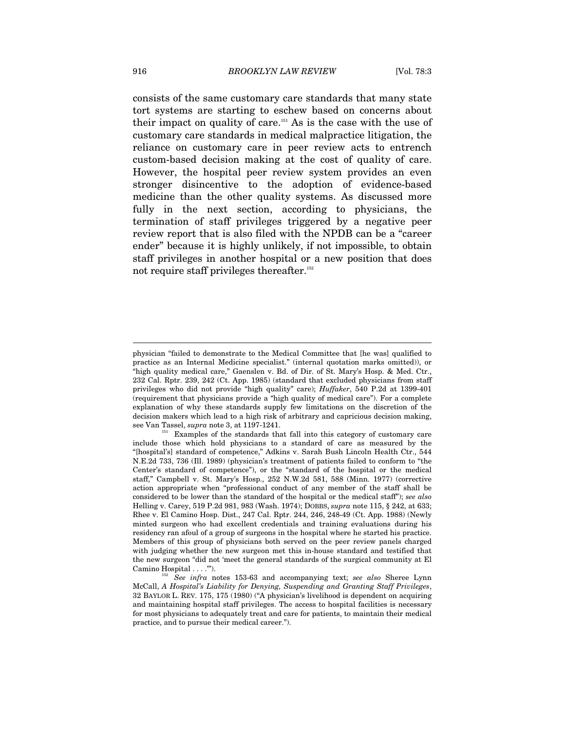consists of the same customary care standards that many state tort systems are starting to eschew based on concerns about their impact on quality of care.151 As is the case with the use of customary care standards in medical malpractice litigation, the reliance on customary care in peer review acts to entrench custom-based decision making at the cost of quality of care. However, the hospital peer review system provides an even stronger disincentive to the adoption of evidence-based medicine than the other quality systems. As discussed more fully in the next section, according to physicians, the termination of staff privileges triggered by a negative peer review report that is also filed with the NPDB can be a "career ender" because it is highly unlikely, if not impossible, to obtain staff privileges in another hospital or a new position that does not require staff privileges thereafter.<sup>152</sup>

physician "failed to demonstrate to the Medical Committee that [he was] qualified to practice as an Internal Medicine specialist." (internal quotation marks omitted)), or "high quality medical care," Gaenslen v. Bd. of Dir. of St. Mary's Hosp. & Med. Ctr., 232 Cal. Rptr. 239, 242 (Ct. App. 1985) (standard that excluded physicians from staff privileges who did not provide "high quality" care); *Huffaker*, 540 P.2d at 1399-401 (requirement that physicians provide a "high quality of medical care"). For a complete explanation of why these standards supply few limitations on the discretion of the decision makers which lead to a high risk of arbitrary and capricious decision making,<br>see Van Tassel, *supra* note 3, at 1197-1241.<br> $\frac{1}{2}$ 

Examples of the standards that fall into this category of customary care include those which hold physicians to a standard of care as measured by the "[hospital's] standard of competence," Adkins v. Sarah Bush Lincoln Health Ctr., 544 N.E.2d 733, 736 (Ill. 1989) (physician's treatment of patients failed to conform to "the Center's standard of competence"), or the "standard of the hospital or the medical staff," Campbell v. St. Mary's Hosp., 252 N.W.2d 581, 588 (Minn. 1977) (corrective action appropriate when "professional conduct of any member of the staff shall be considered to be lower than the standard of the hospital or the medical staff"); *see also* Helling v. Carey, 519 P.2d 981, 983 (Wash. 1974); DOBBS, *supra* note 115, § 242, at 633; Rhee v. El Camino Hosp. Dist., 247 Cal. Rptr. 244, 246, 248-49 (Ct. App. 1988) (Newly minted surgeon who had excellent credentials and training evaluations during his residency ran afoul of a group of surgeons in the hospital where he started his practice. Members of this group of physicians both served on the peer review panels charged with judging whether the new surgeon met this in-house standard and testified that the new surgeon "did not 'meet the general standards of the surgical community at El

 $^{152}$  See infra notes 153-63 and accompanying text; *see also* Sheree Lynn McCall, *A Hospital's Liability for Denying, Suspending and Granting Staff Privileges*, 32 BAYLOR L. REV. 175, 175 (1980) ("A physician's livelihood is dependent on acquiring and maintaining hospital staff privileges. The access to hospital facilities is necessary for most physicians to adequately treat and care for patients, to maintain their medical practice, and to pursue their medical career.").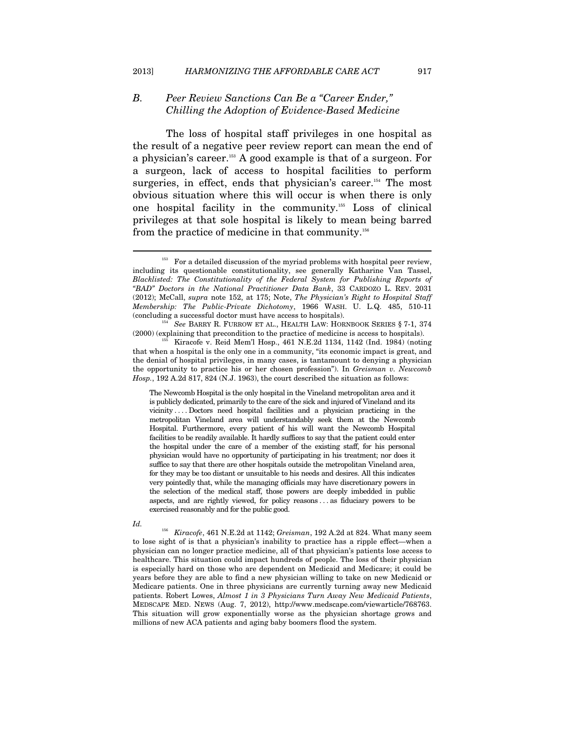# *B. Peer Review Sanctions Can Be a "Career Ender," Chilling the Adoption of Evidence-Based Medicine*

The loss of hospital staff privileges in one hospital as the result of a negative peer review report can mean the end of a physician's career.153 A good example is that of a surgeon. For a surgeon, lack of access to hospital facilities to perform surgeries, in effect, ends that physician's career.<sup>154</sup> The most obvious situation where this will occur is when there is only one hospital facility in the community.155 Loss of clinical privileges at that sole hospital is likely to mean being barred from the practice of medicine in that community.156

The Newcomb Hospital is the only hospital in the Vineland metropolitan area and it is publicly dedicated, primarily to the care of the sick and injured of Vineland and its vicinity . . . . Doctors need hospital facilities and a physician practicing in the metropolitan Vineland area will understandably seek them at the Newcomb Hospital. Furthermore, every patient of his will want the Newcomb Hospital facilities to be readily available. It hardly suffices to say that the patient could enter the hospital under the care of a member of the existing staff, for his personal physician would have no opportunity of participating in his treatment; nor does it suffice to say that there are other hospitals outside the metropolitan Vineland area, for they may be too distant or unsuitable to his needs and desires. All this indicates very pointedly that, while the managing officials may have discretionary powers in the selection of the medical staff, those powers are deeply imbedded in public aspects, and are rightly viewed, for policy reasons . . . as fiduciary powers to be exercised reasonably and for the public good.

 $\overline{a}$ 

<sup>156</sup> *Kiracofe*, 461 N.E.2d at 1142; *Greisman*, 192 A.2d at 824. What many seem to lose sight of is that a physician's inability to practice has a ripple effect—when a physician can no longer practice medicine, all of that physician's patients lose access to healthcare. This situation could impact hundreds of people. The loss of their physician is especially hard on those who are dependent on Medicaid and Medicare; it could be years before they are able to find a new physician willing to take on new Medicaid or Medicare patients. One in three physicians are currently turning away new Medicaid patients. Robert Lowes, *Almost 1 in 3 Physicians Turn Away New Medicaid Patients*, MEDSCAPE MED. NEWS (Aug. 7, 2012), http://www.medscape.com/viewarticle/768763. This situation will grow exponentially worse as the physician shortage grows and millions of new ACA patients and aging baby boomers flood the system.

<sup>&</sup>lt;sup>153</sup> For a detailed discussion of the myriad problems with hospital peer review, including its questionable constitutionality, see generally Katharine Van Tassel, *Blacklisted: The Constitutionality of the Federal System for Publishing Reports of "BAD" Doctors in the National Practitioner Data Bank*, 33 CARDOZO L. REV. 2031 (2012); McCall, *supra* note 152, at 175; Note, *The Physician's Right to Hospital Staff Membership: The Public-Private Dichotomy*, 1966 WASH. U. L.Q. 485, 510-11 (concluding a successful doctor must have access to hospitals). 154 *See* BARRY R. FURROW ET AL., HEALTH LAW: HORNBOOK SERIES § 7-1, 374

<sup>(2000) (</sup>explaining that precondition to the practice of medicine is access to hospitals). 155 Kiracofe v. Reid Mem'l Hosp., 461 N.E.2d 1134, 1142 (Ind. 1984) (noting

that when a hospital is the only one in a community, "its economic impact is great, and the denial of hospital privileges, in many cases, is tantamount to denying a physician the opportunity to practice his or her chosen profession"). In *Greisman v. Newcomb Hosp.*, 192 A.2d 817, 824 (N.J. 1963), the court described the situation as follows:

*Id.*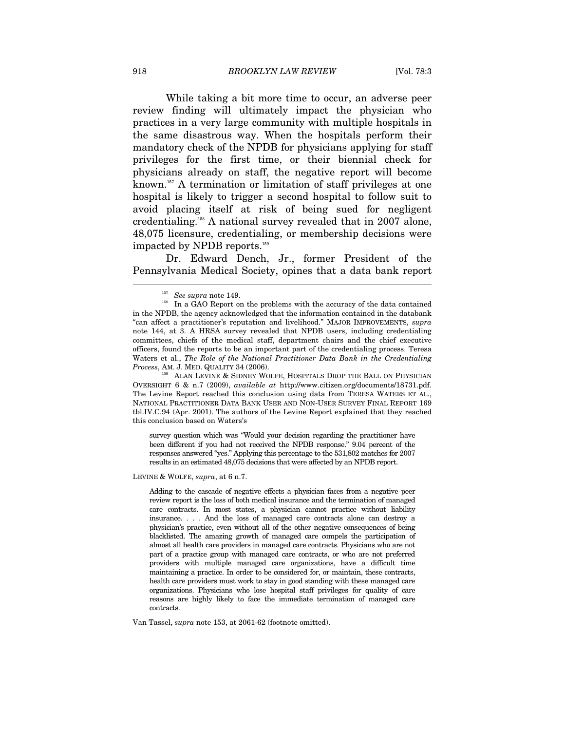While taking a bit more time to occur, an adverse peer review finding will ultimately impact the physician who practices in a very large community with multiple hospitals in the same disastrous way. When the hospitals perform their mandatory check of the NPDB for physicians applying for staff privileges for the first time, or their biennial check for physicians already on staff, the negative report will become known.<sup>157</sup> A termination or limitation of staff privileges at one hospital is likely to trigger a second hospital to follow suit to avoid placing itself at risk of being sued for negligent credentialing.158 A national survey revealed that in 2007 alone, 48,075 licensure, credentialing, or membership decisions were impacted by NPDB reports.<sup>159</sup>

Dr. Edward Dench, Jr., former President of the Pennsylvania Medical Society, opines that a data bank report  $\overline{a}$ 

survey question which was "Would your decision regarding the practitioner have been different if you had not received the NPDB response." 9.04 percent of the responses answered "yes." Applying this percentage to the 531,802 matches for 2007 results in an estimated 48,075 decisions that were affected by an NPDB report.

LEVINE & WOLFE, *supra*, at 6 n.7.

Adding to the cascade of negative effects a physician faces from a negative peer review report is the loss of both medical insurance and the termination of managed care contracts. In most states, a physician cannot practice without liability insurance. . . . And the loss of managed care contracts alone can destroy a physician's practice, even without all of the other negative consequences of being blacklisted. The amazing growth of managed care compels the participation of almost all health care providers in managed care contracts. Physicians who are not part of a practice group with managed care contracts, or who are not preferred providers with multiple managed care organizations, have a difficult time maintaining a practice. In order to be considered for, or maintain, these contracts, health care providers must work to stay in good standing with these managed care organizations. Physicians who lose hospital staff privileges for quality of care reasons are highly likely to face the immediate termination of managed care contracts.

Van Tassel, *supra* note 153, at 2061-62 (footnote omitted).

<sup>&</sup>lt;sup>157</sup> See supra note 149.<br><sup>158</sup> In a GAO Report on the problems with the accuracy of the data contained in the NPDB, the agency acknowledged that the information contained in the databank "can affect a practitioner's reputation and livelihood." MAJOR IMPROVEMENTS, *supra* note 144, at 3. A HRSA survey revealed that NPDB users, including credentialing committees, chiefs of the medical staff, department chairs and the chief executive officers, found the reports to be an important part of the credentialing process. Teresa Waters et al., *The Role of the National Practitioner Data Bank in the Credentialing Process*, AM. J. MED. QUALITY 34 (2006). 159 ALAN LEVINE & SIDNEY WOLFE, HOSPITALS DROP THE BALL ON PHYSICIAN

OVERSIGHT 6 & n.7 (2009), *available at* http://www.citizen.org/documents/18731.pdf. The Levine Report reached this conclusion using data from TERESA WATERS ET AL., NATIONAL PRACTITIONER DATA BANK USER AND NON-USER SURVEY FINAL REPORT 169 tbl.IV.C.94 (Apr. 2001). The authors of the Levine Report explained that they reached this conclusion based on Waters's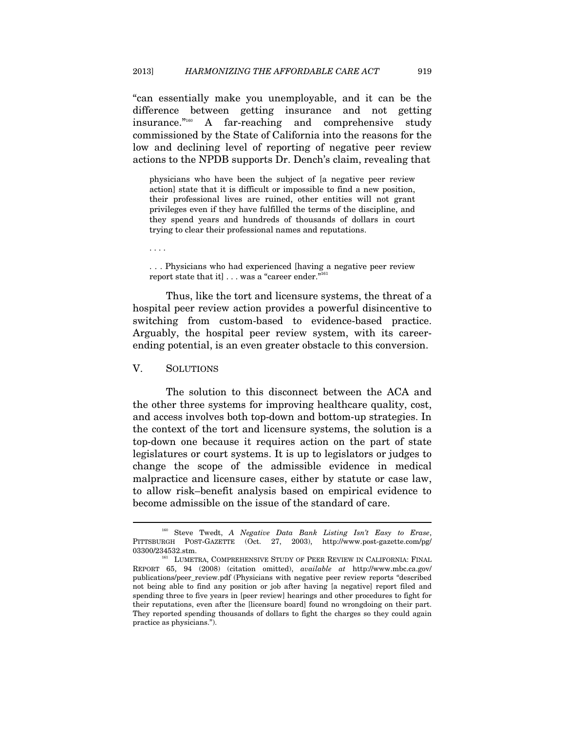"can essentially make you unemployable, and it can be the difference between getting insurance and not getting insurance."160 A far-reaching and comprehensive study commissioned by the State of California into the reasons for the low and declining level of reporting of negative peer review actions to the NPDB supports Dr. Dench's claim, revealing that

physicians who have been the subject of [a negative peer review action] state that it is difficult or impossible to find a new position, their professional lives are ruined, other entities will not grant privileges even if they have fulfilled the terms of the discipline, and they spend years and hundreds of thousands of dollars in court trying to clear their professional names and reputations.

. . . .

. . . Physicians who had experienced [having a negative peer review report state that it] . . . was a "career ender."<sup>161</sup>

Thus, like the tort and licensure systems, the threat of a hospital peer review action provides a powerful disincentive to switching from custom-based to evidence-based practice. Arguably, the hospital peer review system, with its careerending potential, is an even greater obstacle to this conversion.

#### V. SOLUTIONS

 $\overline{a}$ 

The solution to this disconnect between the ACA and the other three systems for improving healthcare quality, cost, and access involves both top-down and bottom-up strategies. In the context of the tort and licensure systems, the solution is a top-down one because it requires action on the part of state legislatures or court systems. It is up to legislators or judges to change the scope of the admissible evidence in medical malpractice and licensure cases, either by statute or case law, to allow risk–benefit analysis based on empirical evidence to become admissible on the issue of the standard of care.

<sup>160</sup> Steve Twedt, *A Negative Data Bank Listing Isn't Easy to Erase*, PITTSBURGH POST-GAZETTE (Oct. 27, 2003), http://www.post-gazette.com/pg/ 03300/234532.stm.  $^{161}$  LUMETRA, COMPREHENSIVE STUDY OF PEER REVIEW IN CALIFORNIA: FINAL

REPORT 65, 94 (2008) (citation omitted), *available at* http://www.mbc.ca.gov/ publications/peer\_review.pdf (Physicians with negative peer review reports "described not being able to find any position or job after having [a negative] report filed and spending three to five years in [peer review] hearings and other procedures to fight for their reputations, even after the [licensure board] found no wrongdoing on their part. They reported spending thousands of dollars to fight the charges so they could again practice as physicians.").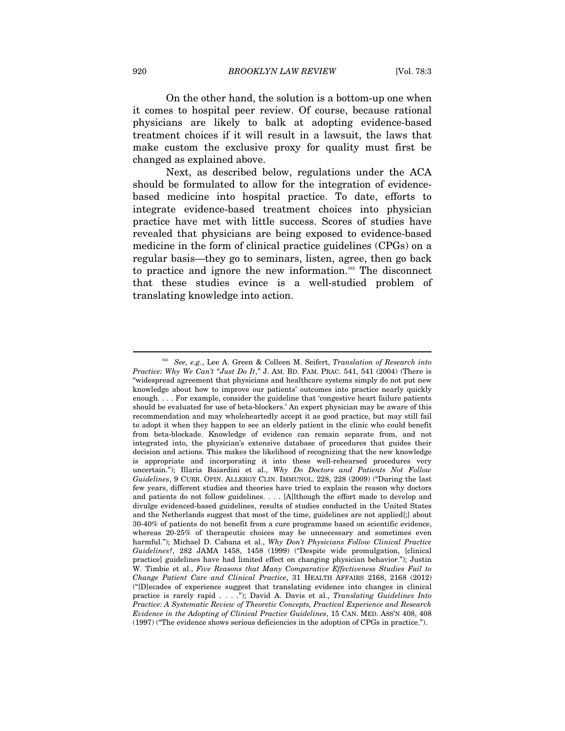On the other hand, the solution is a bottom-up one when it comes to hospital peer review. Of course, because rational physicians are likely to balk at adopting evidence-based treatment choices if it will result in a lawsuit, the laws that make custom the exclusive proxy for quality must first be changed as explained above.

Next, as described below, regulations under the ACA should be formulated to allow for the integration of evidencebased medicine into hospital practice. To date, efforts to integrate evidence-based treatment choices into physician practice have met with little success. Scores of studies have revealed that physicians are being exposed to evidence-based medicine in the form of clinical practice guidelines (CPGs) on a regular basis—they go to seminars, listen, agree, then go back to practice and ignore the new information.<sup>162</sup> The disconnect that these studies evince is a well-studied problem of translating knowledge into action.

<sup>162</sup> *See, e.g.*, Lee A. Green & Colleen M. Seifert, *Translation of Research into Practice: Why We Can't "Just Do It*,*"* J. AM. BD. FAM. PRAC. 541, 541 (2004) (There is "widespread agreement that physicians and healthcare systems simply do not put new knowledge about how to improve our patients' outcomes into practice nearly quickly enough. . . . For example, consider the guideline that 'congestive heart failure patients should be evaluated for use of beta-blockers.' An expert physician may be aware of this recommendation and may wholeheartedly accept it as good practice, but may still fail to adopt it when they happen to see an elderly patient in the clinic who could benefit from beta-blockade. Knowledge of evidence can remain separate from, and not integrated into, the physician's extensive database of procedures that guides their decision and actions. This makes the likelihood of recognizing that the new knowledge is appropriate and incorporating it into these well-rehearsed procedures very uncertain."); Illaria Baiardini et al., *Why Do Doctors and Patients Not Follow Guidelines*, 9 CURR. OPIN. ALLERGY CLIN. IMMUNOL. 228, 228 (2009) ("During the last few years, different studies and theories have tried to explain the reason why doctors and patients do not follow guidelines. . . . [A]lthough the effort made to develop and divulge evidenced-based guidelines, results of studies conducted in the United States and the Netherlands suggest that most of the time, guidelines are not applied[;] about 30-40% of patients do not benefit from a cure programme based on scientific evidence, whereas 20-25% of therapeutic choices may be unnecessary and sometimes even harmful."); Michael D. Cabana et al., *Why Don't Physicians Follow Clinical Practice Guidelines?*, 282 JAMA 1458, 1458 (1999) ("Despite wide promulgation, [clinical practice] guidelines have had limited effect on changing physician behavior."); Justin W. Timbie et al., *Five Reasons that Many Comparative Effectiveness Studies Fail to Change Patient Care and Clinical Practice*, 31 HEALTH AFFAIRS 2168, 2168 (2012) ("[D]ecades of experience suggest that translating evidence into changes in clinical practice is rarely rapid . . . ."); David A. Davis et al., *Translating Guidelines Into Practice: A Systematic Review of Theoretic Concepts, Practical Experience and Research Evidence in the Adopting of Clinical Practice Guidelines*, 15 CAN. MED. ASS'N 408, 408 (1997) ("The evidence shows serious deficiencies in the adoption of CPGs in practice.").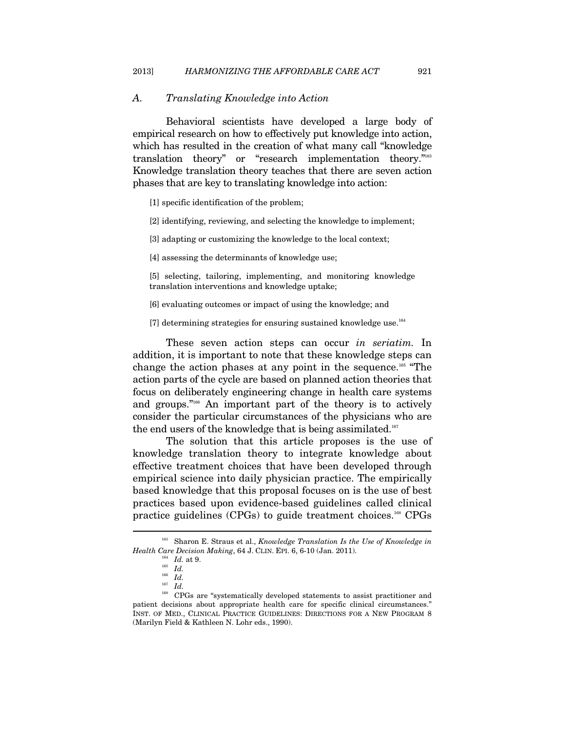#### *A. Translating Knowledge into Action*

Behavioral scientists have developed a large body of empirical research on how to effectively put knowledge into action, which has resulted in the creation of what many call "knowledge translation theory" or "research implementation theory."163 Knowledge translation theory teaches that there are seven action phases that are key to translating knowledge into action:

- [1] specific identification of the problem;
- [2] identifying, reviewing, and selecting the knowledge to implement;
- [3] adapting or customizing the knowledge to the local context;
- [4] assessing the determinants of knowledge use;

[5] selecting, tailoring, implementing, and monitoring knowledge translation interventions and knowledge uptake;

- [6] evaluating outcomes or impact of using the knowledge; and
- [7] determining strategies for ensuring sustained knowledge use. $164$

These seven action steps can occur *in seriatim.* In addition, it is important to note that these knowledge steps can change the action phases at any point in the sequence.165 "The action parts of the cycle are based on planned action theories that focus on deliberately engineering change in health care systems and groups."166 An important part of the theory is to actively consider the particular circumstances of the physicians who are the end users of the knowledge that is being assimilated.<sup>167</sup>

The solution that this article proposes is the use of knowledge translation theory to integrate knowledge about effective treatment choices that have been developed through empirical science into daily physician practice. The empirically based knowledge that this proposal focuses on is the use of best practices based upon evidence-based guidelines called clinical practice guidelines (CPGs) to guide treatment choices.168 CPGs

<sup>163</sup> Sharon E. Straus et al., *Knowledge Translation Is the Use of Knowledge in Health Care Decision Making*, 64 J. CLIN. EPI. 6, 6-10 (Jan. 2011).<br><sup>165</sup> *Id.* at 9.<br>*<sup>165</sup> Id.* 

<sup>166</sup> *Id.* 167 *Id.*

<sup>&</sup>lt;sup>168</sup> CPGs are "systematically developed statements to assist practitioner and patient decisions about appropriate health care for specific clinical circumstances." INST. OF MED., CLINICAL PRACTICE GUIDELINES: DIRECTIONS FOR A NEW PROGRAM 8 (Marilyn Field & Kathleen N. Lohr eds., 1990).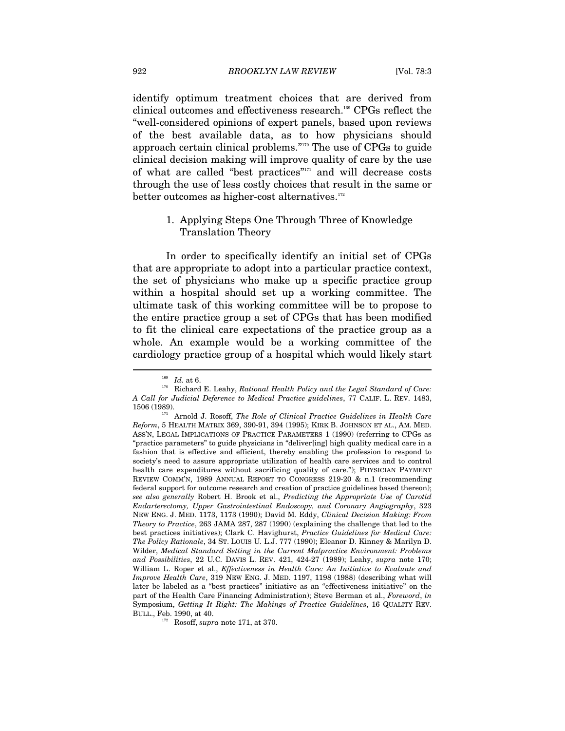identify optimum treatment choices that are derived from clinical outcomes and effectiveness research.169 CPGs reflect the "well-considered opinions of expert panels, based upon reviews of the best available data, as to how physicians should approach certain clinical problems."170 The use of CPGs to guide clinical decision making will improve quality of care by the use of what are called "best practices"171 and will decrease costs through the use of less costly choices that result in the same or better outcomes as higher-cost alternatives.<sup>172</sup>

#### 1. Applying Steps One Through Three of Knowledge Translation Theory

In order to specifically identify an initial set of CPGs that are appropriate to adopt into a particular practice context, the set of physicians who make up a specific practice group within a hospital should set up a working committee. The ultimate task of this working committee will be to propose to the entire practice group a set of CPGs that has been modified to fit the clinical care expectations of the practice group as a whole. An example would be a working committee of the cardiology practice group of a hospital which would likely start

 $^{169}$  *Id.* at 6. <br><sup>170</sup> Richard E. Leahy, *Rational Health Policy and the Legal Standard of Care: A Call for Judicial Deference to Medical Practice guidelines*, 77 CALIF. L. REV. 1483,

<sup>1506 (1989). 171</sup> Arnold J. Rosoff, *The Role of Clinical Practice Guidelines in Health Care Reform*, 5 HEALTH MATRIX 369, 390-91, 394 (1995); KIRK B. JOHNSON ET AL., AM. MED. ASS'N, LEGAL IMPLICATIONS OF PRACTICE PARAMETERS 1 (1990) (referring to CPGs as "practice parameters" to guide physicians in "deliver[ing] high quality medical care in a fashion that is effective and efficient, thereby enabling the profession to respond to society's need to assure appropriate utilization of health care services and to control health care expenditures without sacrificing quality of care."); PHYSICIAN PAYMENT REVIEW COMM'N, 1989 ANNUAL REPORT TO CONGRESS 219-20 & n.1 (recommending federal support for outcome research and creation of practice guidelines based thereon); *see also generally* Robert H. Brook et al., *Predicting the Appropriate Use of Carotid Endarterectomy, Upper Gastrointestinal Endoscopy, and Coronary Angiography*, 323 NEW ENG. J. MED. 1173, 1173 (1990); David M. Eddy, *Clinical Decision Making: From Theory to Practice*, 263 JAMA 287, 287 (1990) (explaining the challenge that led to the best practices initiatives); Clark C. Havighurst, *Practice Guidelines for Medical Care: The Policy Rationale*, 34 ST. LOUIS U*.* L.J. 777 (1990); Eleanor D. Kinney & Marilyn D. Wilder, *Medical Standard Setting in the Current Malpractice Environment: Problems and Possibilities*, 22 U*.*C*.* DAVIS L. REV. 421, 424-27 (1989); Leahy, *supra* note 170; William L. Roper et al., *Effectiveness in Health Care: An Initiative to Evaluate and Improve Health Care*, 319 NEW ENG. J. MED. 1197, 1198 (1988) (describing what will later be labeled as a "best practices" initiative as an "effectiveness initiative" on the part of the Health Care Financing Administration); Steve Berman et al., *Foreword*, *in*  Symposium, *Getting It Right: The Makings of Practice Guidelines*, 16 QUALITY REV. BULL., Feb. 1990, at 40. 172 Rosoff, *supra* note 171, at 370.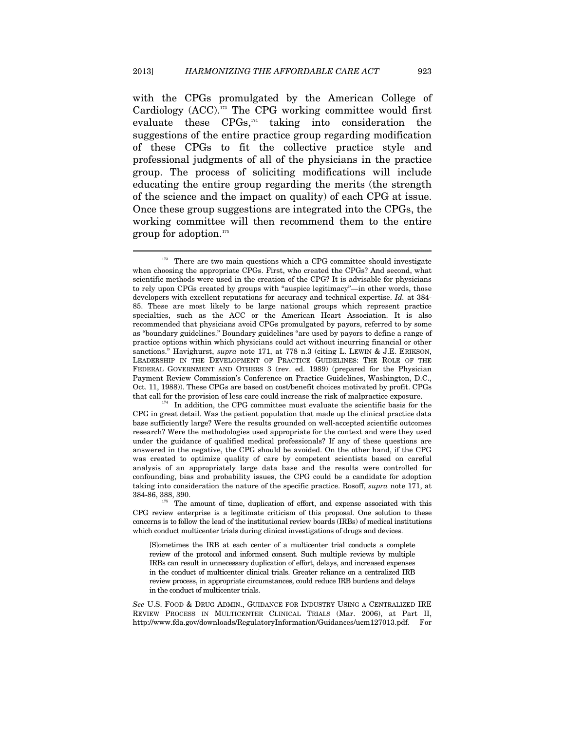$\overline{a}$ 

with the CPGs promulgated by the American College of Cardiology (ACC).173 The CPG working committee would first evaluate these  $CPGs$ ,<sup>174</sup> taking into consideration the suggestions of the entire practice group regarding modification of these CPGs to fit the collective practice style and professional judgments of all of the physicians in the practice group. The process of soliciting modifications will include educating the entire group regarding the merits (the strength of the science and the impact on quality) of each CPG at issue. Once these group suggestions are integrated into the CPGs, the working committee will then recommend them to the entire group for adoption.175

 $173$  There are two main questions which a CPG committee should investigate when choosing the appropriate CPGs. First, who created the CPGs? And second, what scientific methods were used in the creation of the CPG? It is advisable for physicians to rely upon CPGs created by groups with "auspice legitimacy"—in other words, those developers with excellent reputations for accuracy and technical expertise. *Id.* at 384- 85. These are most likely to be large national groups which represent practice specialties, such as the ACC or the American Heart Association. It is also recommended that physicians avoid CPGs promulgated by payors, referred to by some as "boundary guidelines." Boundary guidelines "are used by payors to define a range of practice options within which physicians could act without incurring financial or other sanctions." Havighurst, *supra* note 171, at 778 n.3 (citing L. LEWIN & J.E. ERIKSON, LEADERSHIP IN THE DEVELOPMENT OF PRACTICE GUIDELINES: THE ROLE OF THE FEDERAL GOVERNMENT AND OTHERS 3 (rev. ed. 1989) (prepared for the Physician Payment Review Commission's Conference on Practice Guidelines, Washington, D.C., Oct. 11, 1988)). These CPGs are based on cost/benefit choices motivated by profit. CPGs that call for the provision of less care could increase the risk of malpractice exposure.<br><sup>174</sup> In addition, the CPG committee must evaluate the scientific basis for the

CPG in great detail. Was the patient population that made up the clinical practice data base sufficiently large? Were the results grounded on well-accepted scientific outcomes research? Were the methodologies used appropriate for the context and were they used under the guidance of qualified medical professionals? If any of these questions are answered in the negative, the CPG should be avoided. On the other hand, if the CPG was created to optimize quality of care by competent scientists based on careful analysis of an appropriately large data base and the results were controlled for confounding, bias and probability issues, the CPG could be a candidate for adoption taking into consideration the nature of the specific practice. Rosoff, *supra* note 171, at 384-86, 388, 390. 175 The amount of time, duplication of effort, and expense associated with this

CPG review enterprise is a legitimate criticism of this proposal. One solution to these concerns is to follow the lead of the institutional review boards (IRBs) of medical institutions which conduct multicenter trials during clinical investigations of drugs and devices.

<sup>[</sup>S]ometimes the IRB at each center of a multicenter trial conducts a complete review of the protocol and informed consent. Such multiple reviews by multiple IRBs can result in unnecessary duplication of effort, delays, and increased expenses in the conduct of multicenter clinical trials. Greater reliance on a centralized IRB review process, in appropriate circumstances, could reduce IRB burdens and delays in the conduct of multicenter trials.

*See* U.S. FOOD & DRUG ADMIN., GUIDANCE FOR INDUSTRY USING A CENTRALIZED IRE REVIEW PROCESS IN MULTICENTER CLINICAL TRIALS (Mar. 2006), at Part II, http://www.fda.gov/downloads/RegulatoryInformation/Guidances/ucm127013.pdf. For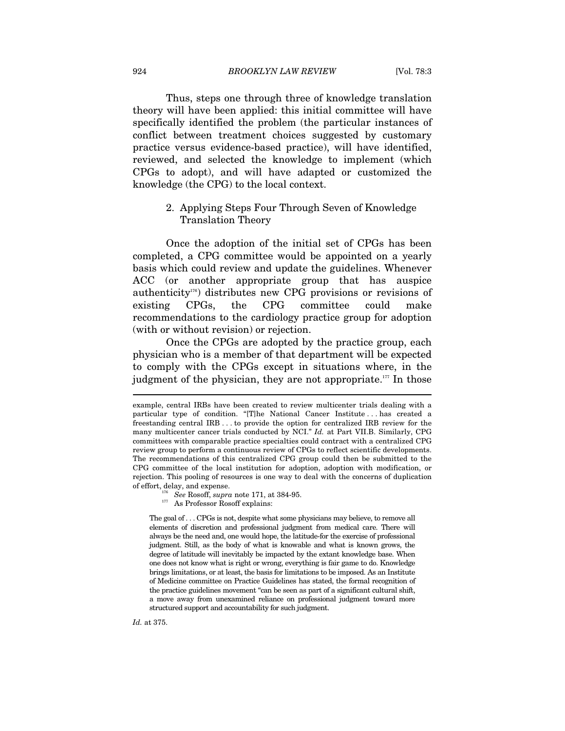Thus, steps one through three of knowledge translation theory will have been applied: this initial committee will have specifically identified the problem (the particular instances of conflict between treatment choices suggested by customary practice versus evidence-based practice), will have identified, reviewed, and selected the knowledge to implement (which CPGs to adopt), and will have adapted or customized the knowledge (the CPG) to the local context.

# 2. Applying Steps Four Through Seven of Knowledge Translation Theory

Once the adoption of the initial set of CPGs has been completed, a CPG committee would be appointed on a yearly basis which could review and update the guidelines. Whenever ACC (or another appropriate group that has auspice authenticity<sup>176</sup>) distributes new CPG provisions or revisions of existing CPGs, the CPG committee could make recommendations to the cardiology practice group for adoption (with or without revision) or rejection.

Once the CPGs are adopted by the practice group, each physician who is a member of that department will be expected to comply with the CPGs except in situations where, in the judgment of the physician, they are not appropriate.<sup>177</sup> In those

*Id.* at 375.

example, central IRBs have been created to review multicenter trials dealing with a particular type of condition. "[T]he National Cancer Institute . . . has created a freestanding central IRB . . . to provide the option for centralized IRB review for the many multicenter cancer trials conducted by NCI." *Id.* at Part VII.B. Similarly, CPG committees with comparable practice specialties could contract with a centralized CPG review group to perform a continuous review of CPGs to reflect scientific developments. The recommendations of this centralized CPG group could then be submitted to the CPG committee of the local institution for adoption, adoption with modification, or rejection. This pooling of resources is one way to deal with the concerns of duplication

<sup>%</sup> of effort, delay, and expense.  $$^{176}$   $\,$  See Rosoff,  ${supra}$  note 171, at 384-95. 177 As Professor Rosoff explains:

The goal of . . . CPGs is not, despite what some physicians may believe, to remove all elements of discretion and professional judgment from medical care. There will always be the need and, one would hope, the latitude-for the exercise of professional judgment. Still, as the body of what is knowable and what is known grows, the degree of latitude will inevitably be impacted by the extant knowledge base. When one does not know what is right or wrong, everything is fair game to do. Knowledge brings limitations, or at least, the basis for limitations to be imposed. As an Institute of Medicine committee on Practice Guidelines has stated, the formal recognition of the practice guidelines movement "can be seen as part of a significant cultural shift, a move away from unexamined reliance on professional judgment toward more structured support and accountability for such judgment.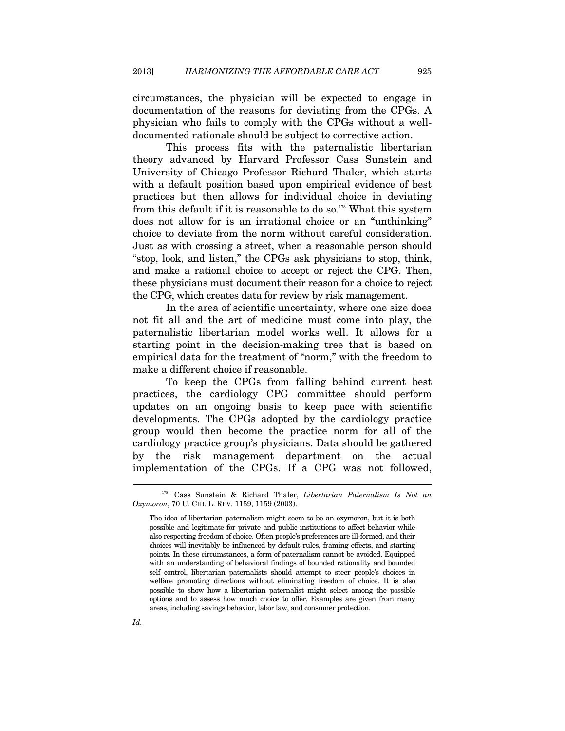circumstances, the physician will be expected to engage in documentation of the reasons for deviating from the CPGs. A physician who fails to comply with the CPGs without a welldocumented rationale should be subject to corrective action.

This process fits with the paternalistic libertarian theory advanced by Harvard Professor Cass Sunstein and University of Chicago Professor Richard Thaler, which starts with a default position based upon empirical evidence of best practices but then allows for individual choice in deviating from this default if it is reasonable to do so.<sup>178</sup> What this system does not allow for is an irrational choice or an "unthinking" choice to deviate from the norm without careful consideration. Just as with crossing a street, when a reasonable person should "stop, look, and listen," the CPGs ask physicians to stop, think, and make a rational choice to accept or reject the CPG. Then, these physicians must document their reason for a choice to reject the CPG, which creates data for review by risk management.

In the area of scientific uncertainty, where one size does not fit all and the art of medicine must come into play, the paternalistic libertarian model works well. It allows for a starting point in the decision-making tree that is based on empirical data for the treatment of "norm," with the freedom to make a different choice if reasonable.

To keep the CPGs from falling behind current best practices, the cardiology CPG committee should perform updates on an ongoing basis to keep pace with scientific developments. The CPGs adopted by the cardiology practice group would then become the practice norm for all of the cardiology practice group's physicians. Data should be gathered by the risk management department on the actual implementation of the CPGs. If a CPG was not followed,

*Id.* 

<sup>178</sup> Cass Sunstein & Richard Thaler, *Libertarian Paternalism Is Not an Oxymoron*, 70 U. CHI. L. REV. 1159, 1159 (2003).

The idea of libertarian paternalism might seem to be an oxymoron, but it is both possible and legitimate for private and public institutions to affect behavior while also respecting freedom of choice. Often people's preferences are ill-formed, and their choices will inevitably be influenced by default rules, framing effects, and starting points. In these circumstances, a form of paternalism cannot be avoided. Equipped with an understanding of behavioral findings of bounded rationality and bounded self control, libertarian paternalists should attempt to steer people's choices in welfare promoting directions without eliminating freedom of choice. It is also possible to show how a libertarian paternalist might select among the possible options and to assess how much choice to offer. Examples are given from many areas, including savings behavior, labor law, and consumer protection.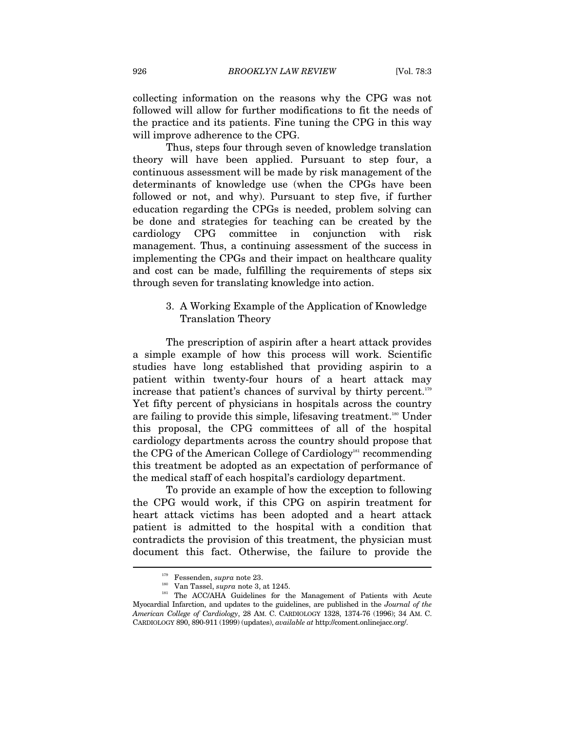collecting information on the reasons why the CPG was not followed will allow for further modifications to fit the needs of the practice and its patients. Fine tuning the CPG in this way will improve adherence to the CPG.

Thus, steps four through seven of knowledge translation theory will have been applied. Pursuant to step four, a continuous assessment will be made by risk management of the determinants of knowledge use (when the CPGs have been followed or not, and why). Pursuant to step five, if further education regarding the CPGs is needed, problem solving can be done and strategies for teaching can be created by the cardiology CPG committee in conjunction with risk management. Thus, a continuing assessment of the success in implementing the CPGs and their impact on healthcare quality and cost can be made, fulfilling the requirements of steps six through seven for translating knowledge into action.

> 3. A Working Example of the Application of Knowledge Translation Theory

The prescription of aspirin after a heart attack provides a simple example of how this process will work. Scientific studies have long established that providing aspirin to a patient within twenty-four hours of a heart attack may increase that patient's chances of survival by thirty percent.<sup>179</sup> Yet fifty percent of physicians in hospitals across the country are failing to provide this simple, lifesaving treatment.<sup>180</sup> Under this proposal, the CPG committees of all of the hospital cardiology departments across the country should propose that the CPG of the American College of Cardiology<sup>181</sup> recommending this treatment be adopted as an expectation of performance of the medical staff of each hospital's cardiology department.

To provide an example of how the exception to following the CPG would work, if this CPG on aspirin treatment for heart attack victims has been adopted and a heart attack patient is admitted to the hospital with a condition that contradicts the provision of this treatment, the physician must document this fact. Otherwise, the failure to provide the

<sup>&</sup>lt;sup>179</sup> Fessenden, *supra* note 23.<br><sup>180</sup> Van Tassel, *supra* note 3, at 1245.<br><sup>181</sup> The ACC/AHA Guidelines for the Management of Patients with Acute Myocardial Infarction, and updates to the guidelines, are published in the *Journal of the American College of Cardiology*, 28 AM. C. CARDIOLOGY 1328, 1374-76 (1996); 34 AM. C. CARDIOLOGY 890, 890-911 (1999) (updates), *available at* http://coment.onlinejacc.org/.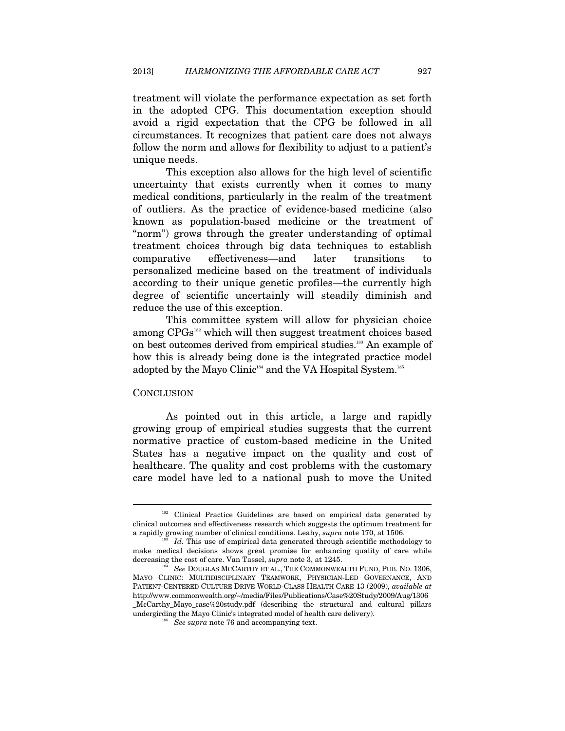treatment will violate the performance expectation as set forth in the adopted CPG. This documentation exception should avoid a rigid expectation that the CPG be followed in all circumstances. It recognizes that patient care does not always follow the norm and allows for flexibility to adjust to a patient's unique needs.

This exception also allows for the high level of scientific uncertainty that exists currently when it comes to many medical conditions, particularly in the realm of the treatment of outliers. As the practice of evidence-based medicine (also known as population-based medicine or the treatment of "norm") grows through the greater understanding of optimal treatment choices through big data techniques to establish comparative effectiveness—and later transitions to personalized medicine based on the treatment of individuals according to their unique genetic profiles—the currently high degree of scientific uncertainly will steadily diminish and reduce the use of this exception.

This committee system will allow for physician choice among CPGs<sup>182</sup> which will then suggest treatment choices based on best outcomes derived from empirical studies.183 An example of how this is already being done is the integrated practice model adopted by the Mayo Clinic<sup>184</sup> and the VA Hospital System.<sup>185</sup>

#### **CONCLUSION**

 $\overline{a}$ 

As pointed out in this article, a large and rapidly growing group of empirical studies suggests that the current normative practice of custom-based medicine in the United States has a negative impact on the quality and cost of healthcare. The quality and cost problems with the customary care model have led to a national push to move the United

 $182$  Clinical Practice Guidelines are based on empirical data generated by clinical outcomes and effectiveness research which suggests the optimum treatment for a rapidly growing number of clinical conditions. Leahy, *supra* note 170, at 1506.<br><sup>183</sup> *Id.* This use of empirical data generated through scientific methodology to

make medical decisions shows great promise for enhancing quality of care while decreasing the cost of care. Van Tassel, *supra* note 3, at 1245.<br><sup>184</sup> See DOUGLAS MCCARTHY ET AL., THE COMMONWEALTH FUND, PUB. NO. 1306,

MAYO CLINIC: MULTIDISCIPLINARY TEAMWORK, PHYSICIAN-LED GOVERNANCE, AND PATIENT-CENTERED CULTURE DRIVE WORLD-CLASS HEALTH CARE 13 (2009), *available at*  http://www.commonwealth.org/~/media/Files/Publications/Case%20Study/2009/Aug/1306 \_McCarthy\_Mayo\_case%20study.pdf (describing the structural and cultural pillars undergirding the Mayo Clinic's integrated model of health care delivery). 185 *See supra* note 76 and accompanying text.